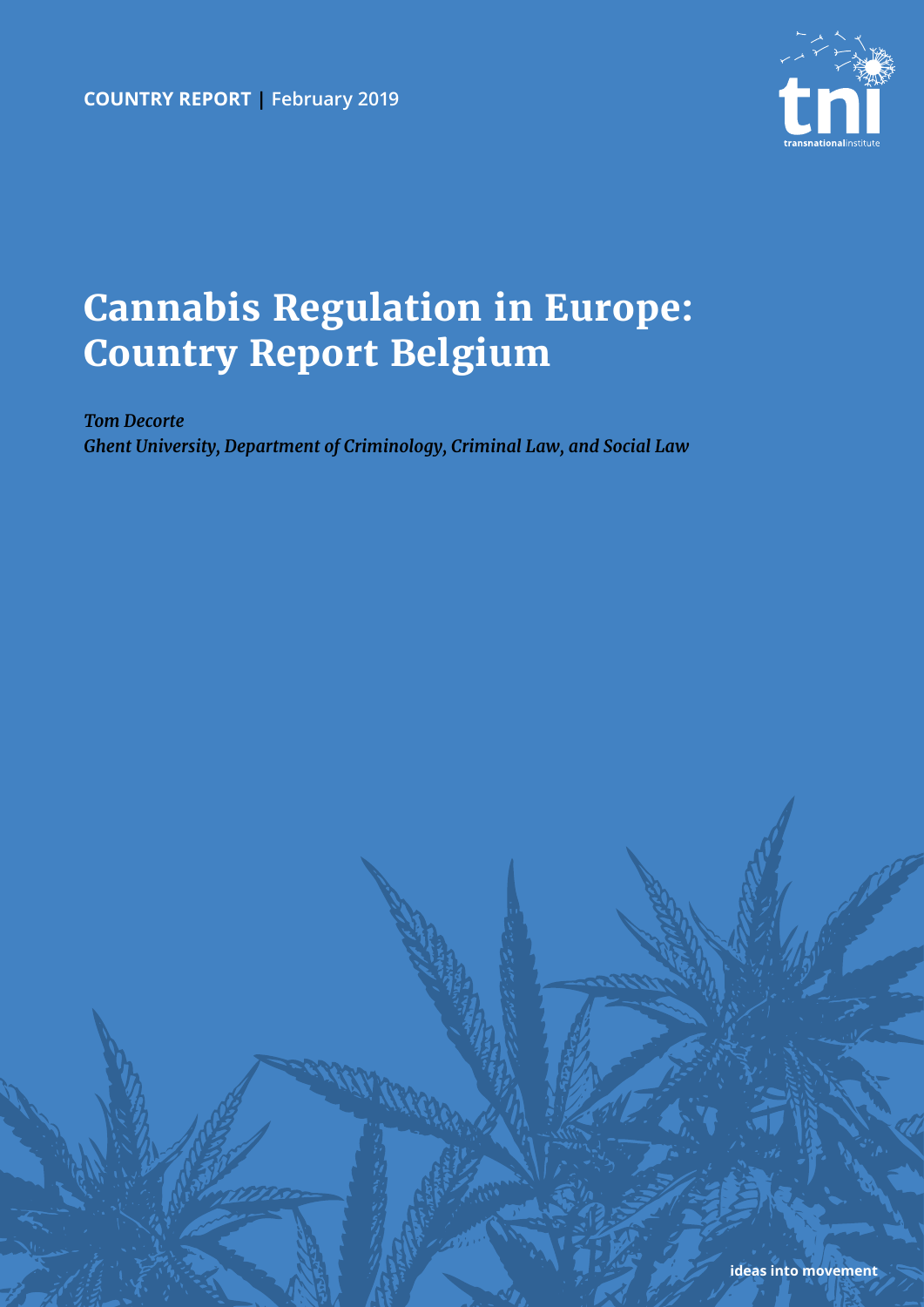

# **Cannabis Regulation in Europe: Country Report Belgium**

*Tom Decorte Ghent University, Department of Criminology, Criminal Law, and Social Law*

**ideas into movement**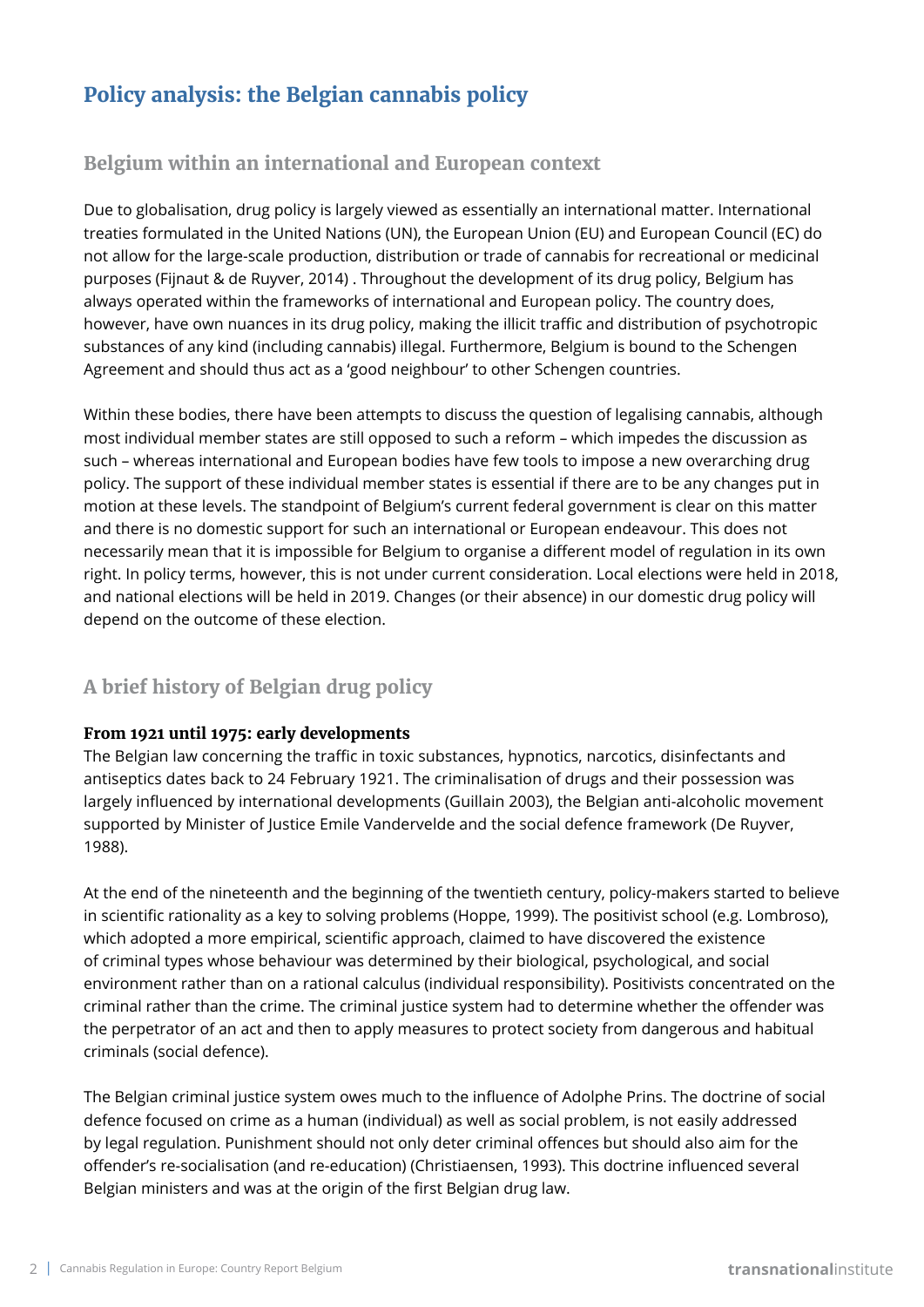# **Policy analysis: the Belgian cannabis policy**

### **Belgium within an international and European context**

Due to globalisation, drug policy is largely viewed as essentially an international matter. International treaties formulated in the United Nations (UN), the European Union (EU) and European Council (EC) do not allow for the large-scale production, distribution or trade of cannabis for recreational or medicinal purposes (Fijnaut & de Ruyver, 2014) . Throughout the development of its drug policy, Belgium has always operated within the frameworks of international and European policy. The country does, however, have own nuances in its drug policy, making the illicit traffic and distribution of psychotropic substances of any kind (including cannabis) illegal. Furthermore, Belgium is bound to the Schengen Agreement and should thus act as a 'good neighbour' to other Schengen countries.

Within these bodies, there have been attempts to discuss the question of legalising cannabis, although most individual member states are still opposed to such a reform – which impedes the discussion as such – whereas international and European bodies have few tools to impose a new overarching drug policy. The support of these individual member states is essential if there are to be any changes put in motion at these levels. The standpoint of Belgium's current federal government is clear on this matter and there is no domestic support for such an international or European endeavour. This does not necessarily mean that it is impossible for Belgium to organise a different model of regulation in its own right. In policy terms, however, this is not under current consideration. Local elections were held in 2018, and national elections will be held in 2019. Changes (or their absence) in our domestic drug policy will depend on the outcome of these election.

# **A brief history of Belgian drug policy**

### **From 1921 until 1975: early developments**

The Belgian law concerning the traffic in toxic substances, hypnotics, narcotics, disinfectants and antiseptics dates back to 24 February 1921. The criminalisation of drugs and their possession was largely influenced by international developments (Guillain 2003), the Belgian anti-alcoholic movement supported by Minister of Justice Emile Vandervelde and the social defence framework (De Ruyver, 1988).

At the end of the nineteenth and the beginning of the twentieth century, policy-makers started to believe in scientific rationality as a key to solving problems (Hoppe, 1999). The positivist school (e.g. Lombroso), which adopted a more empirical, scientific approach, claimed to have discovered the existence of criminal types whose behaviour was determined by their biological, psychological, and social environment rather than on a rational calculus (individual responsibility). Positivists concentrated on the criminal rather than the crime. The criminal justice system had to determine whether the offender was the perpetrator of an act and then to apply measures to protect society from dangerous and habitual criminals (social defence).

The Belgian criminal justice system owes much to the influence of Adolphe Prins. The doctrine of social defence focused on crime as a human (individual) as well as social problem, is not easily addressed by legal regulation. Punishment should not only deter criminal offences but should also aim for the offender's re-socialisation (and re-education) (Christiaensen, 1993). This doctrine influenced several Belgian ministers and was at the origin of the first Belgian drug law.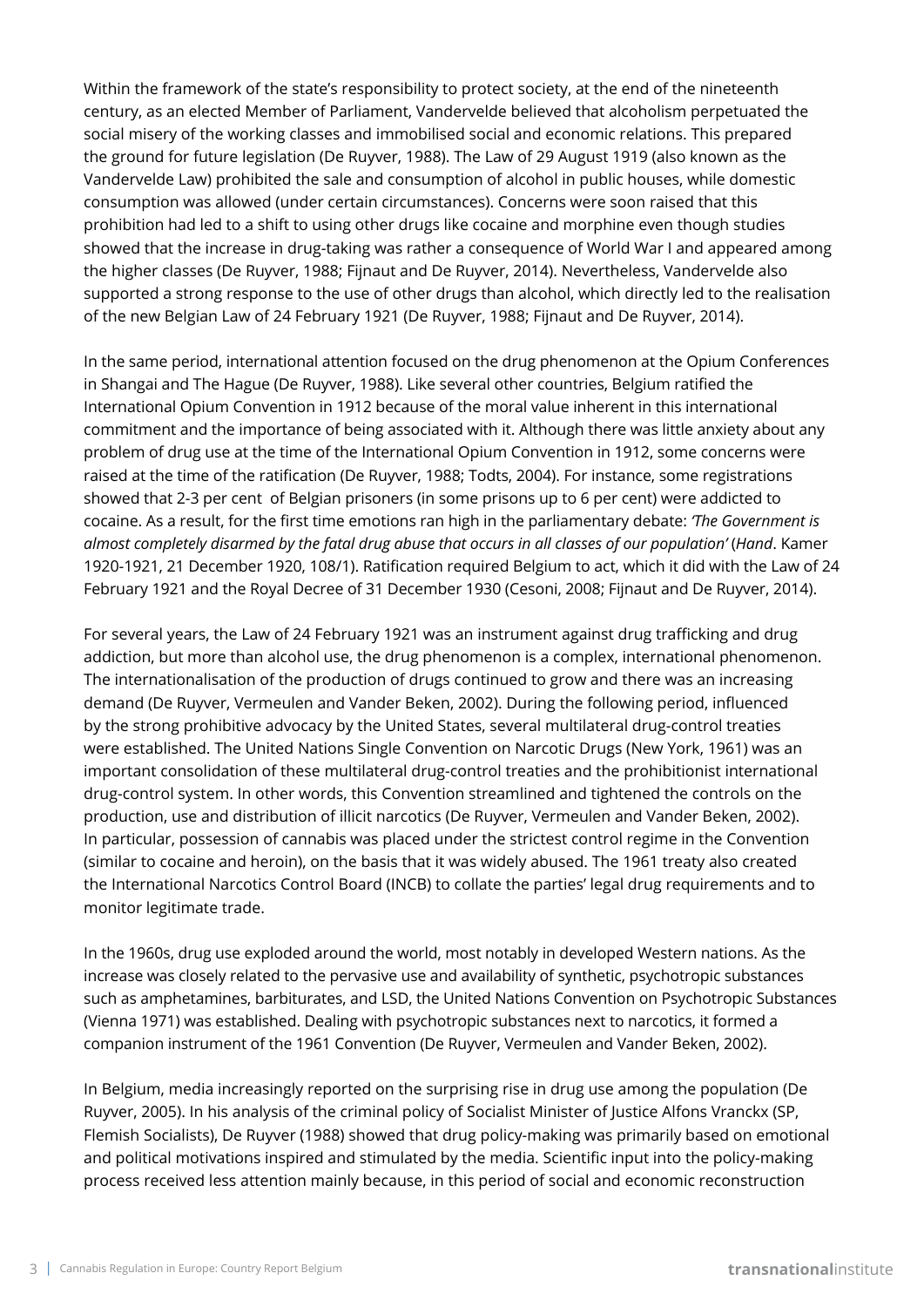Within the framework of the state's responsibility to protect society, at the end of the nineteenth century, as an elected Member of Parliament, Vandervelde believed that alcoholism perpetuated the social misery of the working classes and immobilised social and economic relations. This prepared the ground for future legislation (De Ruyver, 1988). The Law of 29 August 1919 (also known as the Vandervelde Law) prohibited the sale and consumption of alcohol in public houses, while domestic consumption was allowed (under certain circumstances). Concerns were soon raised that this prohibition had led to a shift to using other drugs like cocaine and morphine even though studies showed that the increase in drug-taking was rather a consequence of World War I and appeared among the higher classes (De Ruyver, 1988; Fijnaut and De Ruyver, 2014). Nevertheless, Vandervelde also supported a strong response to the use of other drugs than alcohol, which directly led to the realisation of the new Belgian Law of 24 February 1921 (De Ruyver, 1988; Fijnaut and De Ruyver, 2014).

In the same period, international attention focused on the drug phenomenon at the Opium Conferences in Shangai and The Hague (De Ruyver, 1988). Like several other countries, Belgium ratified the International Opium Convention in 1912 because of the moral value inherent in this international commitment and the importance of being associated with it. Although there was little anxiety about any problem of drug use at the time of the International Opium Convention in 1912, some concerns were raised at the time of the ratification (De Ruyver, 1988; Todts, 2004). For instance, some registrations showed that 2-3 per cent of Belgian prisoners (in some prisons up to 6 per cent) were addicted to cocaine. As a result, for the first time emotions ran high in the parliamentary debate: *'The Government is almost completely disarmed by the fatal drug abuse that occurs in all classes of our population'* (*Hand*. Kamer 1920-1921, 21 December 1920, 108/1). Ratification required Belgium to act, which it did with the Law of 24 February 1921 and the Royal Decree of 31 December 1930 (Cesoni, 2008; Fijnaut and De Ruyver, 2014).

For several years, the Law of 24 February 1921 was an instrument against drug trafficking and drug addiction, but more than alcohol use, the drug phenomenon is a complex, international phenomenon. The internationalisation of the production of drugs continued to grow and there was an increasing demand (De Ruyver, Vermeulen and Vander Beken, 2002). During the following period, influenced by the strong prohibitive advocacy by the United States, several multilateral drug-control treaties were established. The United Nations Single Convention on Narcotic Drugs (New York, 1961) was an important consolidation of these multilateral drug-control treaties and the prohibitionist international drug-control system. In other words, this Convention streamlined and tightened the controls on the production, use and distribution of illicit narcotics (De Ruyver, Vermeulen and Vander Beken, 2002). In particular, possession of cannabis was placed under the strictest control regime in the Convention (similar to cocaine and heroin), on the basis that it was widely abused. The 1961 treaty also created the International Narcotics Control Board (INCB) to collate the parties' legal drug requirements and to monitor legitimate trade.

In the 1960s, drug use exploded around the world, most notably in developed Western nations. As the increase was closely related to the pervasive use and availability of synthetic, psychotropic substances such as amphetamines, barbiturates, and LSD, the United Nations Convention on Psychotropic Substances (Vienna 1971) was established. Dealing with psychotropic substances next to narcotics, it formed a companion instrument of the 1961 Convention (De Ruyver, Vermeulen and Vander Beken, 2002).

In Belgium, media increasingly reported on the surprising rise in drug use among the population (De Ruyver, 2005). In his analysis of the criminal policy of Socialist Minister of Justice Alfons Vranckx (SP, Flemish Socialists), De Ruyver (1988) showed that drug policy-making was primarily based on emotional and political motivations inspired and stimulated by the media. Scientific input into the policy-making process received less attention mainly because, in this period of social and economic reconstruction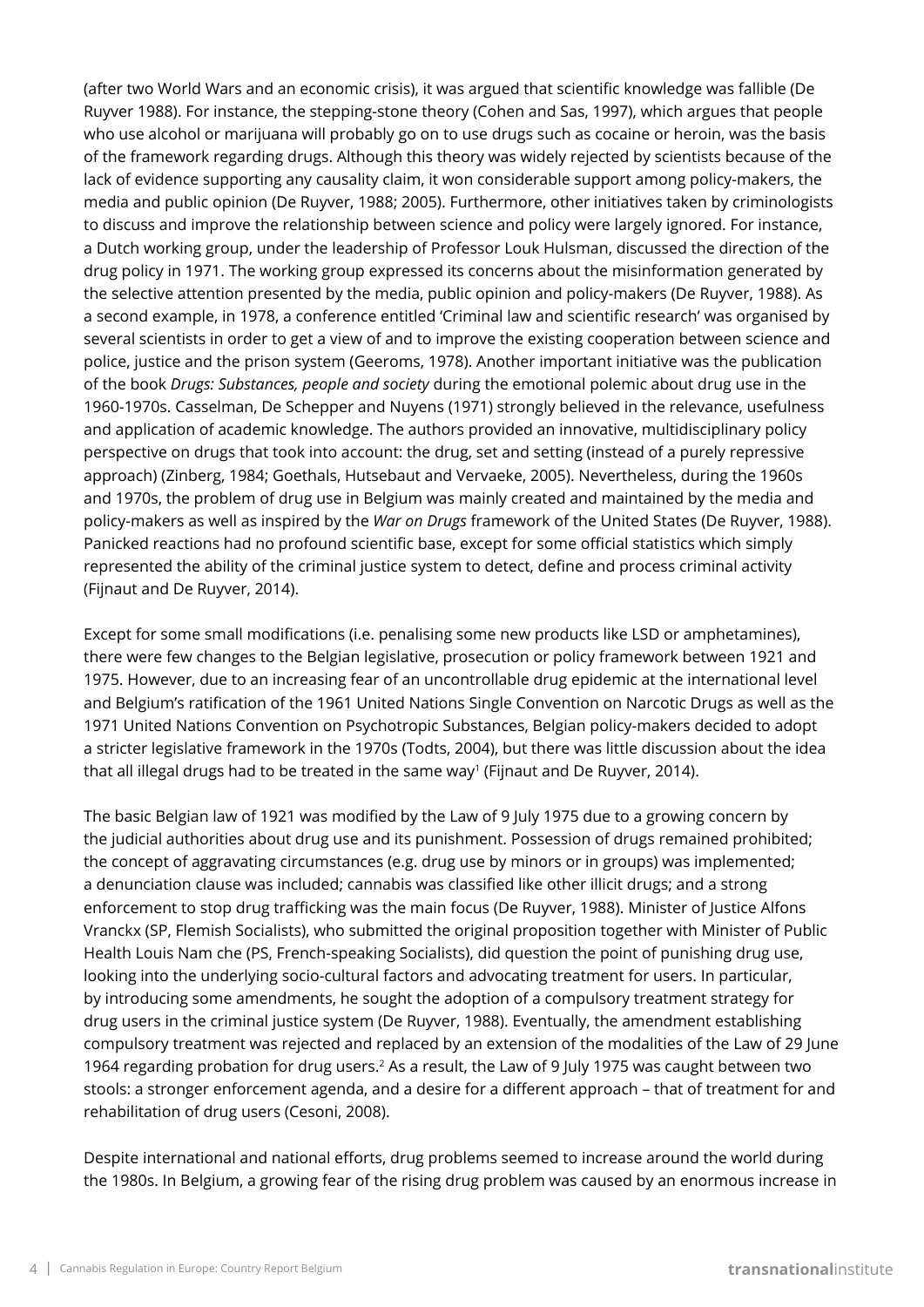(after two World Wars and an economic crisis), it was argued that scientific knowledge was fallible (De Ruyver 1988). For instance, the stepping-stone theory (Cohen and Sas, 1997), which argues that people who use alcohol or marijuana will probably go on to use drugs such as cocaine or heroin, was the basis of the framework regarding drugs. Although this theory was widely rejected by scientists because of the lack of evidence supporting any causality claim, it won considerable support among policy-makers, the media and public opinion (De Ruyver, 1988; 2005). Furthermore, other initiatives taken by criminologists to discuss and improve the relationship between science and policy were largely ignored. For instance, a Dutch working group, under the leadership of Professor Louk Hulsman, discussed the direction of the drug policy in 1971. The working group expressed its concerns about the misinformation generated by the selective attention presented by the media, public opinion and policy-makers (De Ruyver, 1988). As a second example, in 1978, a conference entitled 'Criminal law and scientific research' was organised by several scientists in order to get a view of and to improve the existing cooperation between science and police, justice and the prison system (Geeroms, 1978). Another important initiative was the publication of the book *Drugs: Substances, people and society* during the emotional polemic about drug use in the 1960-1970s. Casselman, De Schepper and Nuyens (1971) strongly believed in the relevance, usefulness and application of academic knowledge. The authors provided an innovative, multidisciplinary policy perspective on drugs that took into account: the drug, set and setting (instead of a purely repressive approach) (Zinberg, 1984; Goethals, Hutsebaut and Vervaeke, 2005). Nevertheless, during the 1960s and 1970s, the problem of drug use in Belgium was mainly created and maintained by the media and policy-makers as well as inspired by the *War on Drugs* framework of the United States (De Ruyver, 1988). Panicked reactions had no profound scientific base, except for some official statistics which simply represented the ability of the criminal justice system to detect, define and process criminal activity (Fijnaut and De Ruyver, 2014).

Except for some small modifications (i.e. penalising some new products like LSD or amphetamines), there were few changes to the Belgian legislative, prosecution or policy framework between 1921 and 1975. However, due to an increasing fear of an uncontrollable drug epidemic at the international level and Belgium's ratification of the 1961 United Nations Single Convention on Narcotic Drugs as well as the 1971 United Nations Convention on Psychotropic Substances, Belgian policy-makers decided to adopt a stricter legislative framework in the 1970s (Todts, 2004), but there was little discussion about the idea that all illegal drugs had to be treated in the same way<sup>1</sup> (Fijnaut and De Ruyver, 2014).

The basic Belgian law of 1921 was modified by the Law of 9 July 1975 due to a growing concern by the judicial authorities about drug use and its punishment. Possession of drugs remained prohibited; the concept of aggravating circumstances (e.g. drug use by minors or in groups) was implemented; a denunciation clause was included; cannabis was classified like other illicit drugs; and a strong enforcement to stop drug trafficking was the main focus (De Ruyver, 1988). Minister of Justice Alfons Vranckx (SP, Flemish Socialists), who submitted the original proposition together with Minister of Public Health Louis Nam che (PS, French-speaking Socialists), did question the point of punishing drug use, looking into the underlying socio-cultural factors and advocating treatment for users. In particular, by introducing some amendments, he sought the adoption of a compulsory treatment strategy for drug users in the criminal justice system (De Ruyver, 1988). Eventually, the amendment establishing compulsory treatment was rejected and replaced by an extension of the modalities of the Law of 29 June 1964 regarding probation for drug users.2 As a result, the Law of 9 July 1975 was caught between two stools: a stronger enforcement agenda, and a desire for a different approach – that of treatment for and rehabilitation of drug users (Cesoni, 2008).

Despite international and national efforts, drug problems seemed to increase around the world during the 1980s. In Belgium, a growing fear of the rising drug problem was caused by an enormous increase in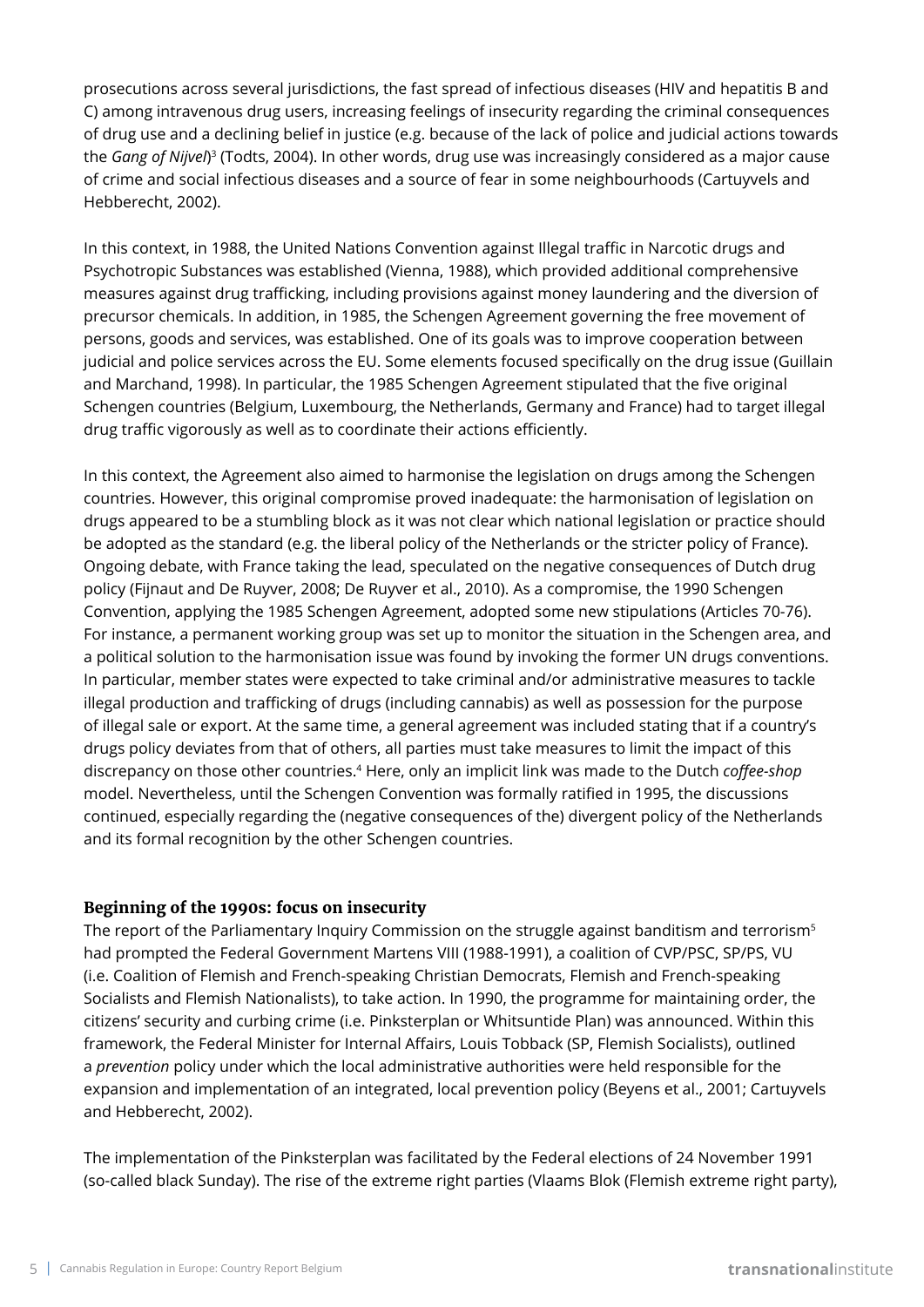prosecutions across several jurisdictions, the fast spread of infectious diseases (HIV and hepatitis B and C) among intravenous drug users, increasing feelings of insecurity regarding the criminal consequences of drug use and a declining belief in justice (e.g. because of the lack of police and judicial actions towards the *Gang of Nijvel*) <sup>3</sup> (Todts, 2004). In other words, drug use was increasingly considered as a major cause of crime and social infectious diseases and a source of fear in some neighbourhoods (Cartuyvels and Hebberecht, 2002).

In this context, in 1988, the United Nations Convention against Illegal traffic in Narcotic drugs and Psychotropic Substances was established (Vienna, 1988), which provided additional comprehensive measures against drug trafficking, including provisions against money laundering and the diversion of precursor chemicals. In addition, in 1985, the Schengen Agreement governing the free movement of persons, goods and services, was established. One of its goals was to improve cooperation between judicial and police services across the EU. Some elements focused specifically on the drug issue (Guillain and Marchand, 1998). In particular, the 1985 Schengen Agreement stipulated that the five original Schengen countries (Belgium, Luxembourg, the Netherlands, Germany and France) had to target illegal drug traffic vigorously as well as to coordinate their actions efficiently.

In this context, the Agreement also aimed to harmonise the legislation on drugs among the Schengen countries. However, this original compromise proved inadequate: the harmonisation of legislation on drugs appeared to be a stumbling block as it was not clear which national legislation or practice should be adopted as the standard (e.g. the liberal policy of the Netherlands or the stricter policy of France). Ongoing debate, with France taking the lead, speculated on the negative consequences of Dutch drug policy (Fijnaut and De Ruyver, 2008; De Ruyver et al., 2010). As a compromise, the 1990 Schengen Convention, applying the 1985 Schengen Agreement, adopted some new stipulations (Articles 70-76). For instance, a permanent working group was set up to monitor the situation in the Schengen area, and a political solution to the harmonisation issue was found by invoking the former UN drugs conventions. In particular, member states were expected to take criminal and/or administrative measures to tackle illegal production and trafficking of drugs (including cannabis) as well as possession for the purpose of illegal sale or export. At the same time, a general agreement was included stating that if a country's drugs policy deviates from that of others, all parties must take measures to limit the impact of this discrepancy on those other countries.4 Here, only an implicit link was made to the Dutch *coffee-shop*  model. Nevertheless, until the Schengen Convention was formally ratified in 1995, the discussions continued, especially regarding the (negative consequences of the) divergent policy of the Netherlands and its formal recognition by the other Schengen countries.

### **Beginning of the 1990s: focus on insecurity**

The report of the Parliamentary Inquiry Commission on the struggle against banditism and terrorism<sup>5</sup> had prompted the Federal Government Martens VIII (1988-1991), a coalition of CVP/PSC, SP/PS, VU (i.e. Coalition of Flemish and French-speaking Christian Democrats, Flemish and French-speaking Socialists and Flemish Nationalists), to take action. In 1990, the programme for maintaining order, the citizens' security and curbing crime (i.e. Pinksterplan or Whitsuntide Plan) was announced. Within this framework, the Federal Minister for Internal Affairs, Louis Tobback (SP, Flemish Socialists), outlined a *prevention* policy under which the local administrative authorities were held responsible for the expansion and implementation of an integrated, local prevention policy (Beyens et al., 2001; Cartuyvels and Hebberecht, 2002).

The implementation of the Pinksterplan was facilitated by the Federal elections of 24 November 1991 (so-called black Sunday). The rise of the extreme right parties (Vlaams Blok (Flemish extreme right party),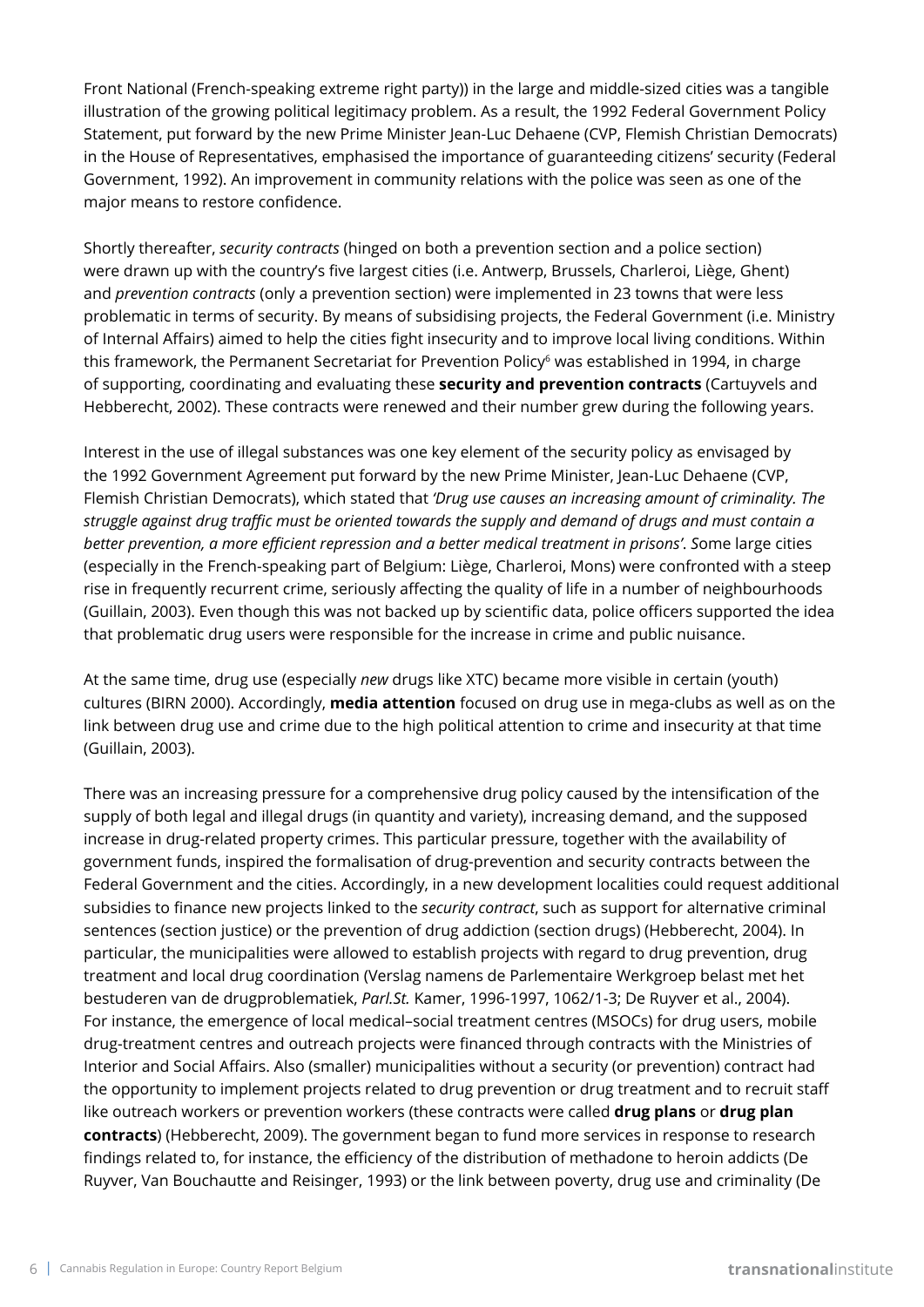Front National (French-speaking extreme right party)) in the large and middle-sized cities was a tangible illustration of the growing political legitimacy problem. As a result, the 1992 Federal Government Policy Statement, put forward by the new Prime Minister Jean-Luc Dehaene (CVP, Flemish Christian Democrats) in the House of Representatives, emphasised the importance of guaranteeding citizens' security (Federal Government, 1992). An improvement in community relations with the police was seen as one of the major means to restore confidence.

Shortly thereafter, *security contracts* (hinged on both a prevention section and a police section) were drawn up with the country's five largest cities (i.e. Antwerp, Brussels, Charleroi, Liège, Ghent) and *prevention contracts* (only a prevention section) were implemented in 23 towns that were less problematic in terms of security. By means of subsidising projects, the Federal Government (i.e. Ministry of Internal Affairs) aimed to help the cities fight insecurity and to improve local living conditions. Within this framework, the Permanent Secretariat for Prevention Policy<sup>6</sup> was established in 1994, in charge of supporting, coordinating and evaluating these **security and prevention contracts** (Cartuyvels and Hebberecht, 2002). These contracts were renewed and their number grew during the following years.

Interest in the use of illegal substances was one key element of the security policy as envisaged by the 1992 Government Agreement put forward by the new Prime Minister, Jean-Luc Dehaene (CVP, Flemish Christian Democrats), which stated that *'Drug use causes an increasing amount of criminality. The struggle against drug traffic must be oriented towards the supply and demand of drugs and must contain a better prevention, a more efficient repression and a better medical treatment in prisons'*. *S*ome large cities (especially in the French-speaking part of Belgium: Liège, Charleroi, Mons) were confronted with a steep rise in frequently recurrent crime, seriously affecting the quality of life in a number of neighbourhoods (Guillain, 2003). Even though this was not backed up by scientific data, police officers supported the idea that problematic drug users were responsible for the increase in crime and public nuisance.

At the same time, drug use (especially *new* drugs like XTC) became more visible in certain (youth) cultures (BIRN 2000). Accordingly, **media attention** focused on drug use in mega-clubs as well as on the link between drug use and crime due to the high political attention to crime and insecurity at that time (Guillain, 2003).

There was an increasing pressure for a comprehensive drug policy caused by the intensification of the supply of both legal and illegal drugs (in quantity and variety), increasing demand, and the supposed increase in drug-related property crimes. This particular pressure, together with the availability of government funds, inspired the formalisation of drug-prevention and security contracts between the Federal Government and the cities. Accordingly, in a new development localities could request additional subsidies to finance new projects linked to the *security contract*, such as support for alternative criminal sentences (section justice) or the prevention of drug addiction (section drugs) (Hebberecht, 2004). In particular, the municipalities were allowed to establish projects with regard to drug prevention, drug treatment and local drug coordination (Verslag namens de Parlementaire Werkgroep belast met het bestuderen van de drugproblematiek, *Parl.St.* Kamer, 1996-1997, 1062/1-3; De Ruyver et al., 2004). For instance, the emergence of local medical–social treatment centres (MSOCs) for drug users, mobile drug-treatment centres and outreach projects were financed through contracts with the Ministries of Interior and Social Affairs. Also (smaller) municipalities without a security (or prevention) contract had the opportunity to implement projects related to drug prevention or drug treatment and to recruit staff like outreach workers or prevention workers (these contracts were called **drug plans** or **drug plan contracts**) (Hebberecht, 2009). The government began to fund more services in response to research findings related to, for instance, the efficiency of the distribution of methadone to heroin addicts (De Ruyver, Van Bouchautte and Reisinger, 1993) or the link between poverty, drug use and criminality (De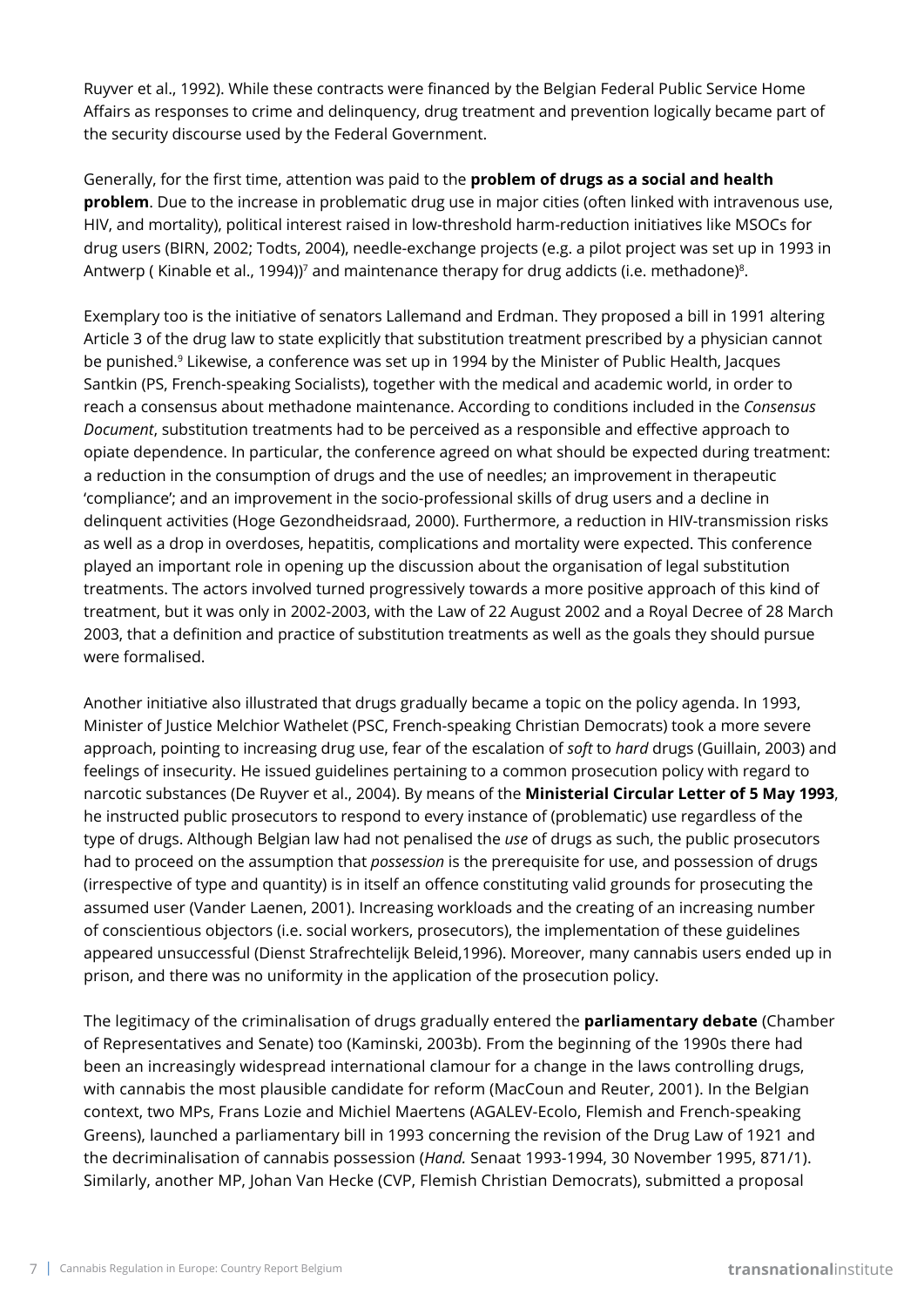Ruyver et al., 1992). While these contracts were financed by the Belgian Federal Public Service Home Affairs as responses to crime and delinquency, drug treatment and prevention logically became part of the security discourse used by the Federal Government.

Generally, for the first time, attention was paid to the **problem of drugs as a social and health problem**. Due to the increase in problematic drug use in major cities (often linked with intravenous use, HIV, and mortality), political interest raised in low-threshold harm-reduction initiatives like MSOCs for drug users (BIRN, 2002; Todts, 2004), needle-exchange projects (e.g. a pilot project was set up in 1993 in Antwerp (Kinable et al., 1994))<sup>7</sup> and maintenance therapy for drug addicts (i.e. methadone)<sup>8</sup>.

Exemplary too is the initiative of senators Lallemand and Erdman. They proposed a bill in 1991 altering Article 3 of the drug law to state explicitly that substitution treatment prescribed by a physician cannot be punished.9 Likewise, a conference was set up in 1994 by the Minister of Public Health, Jacques Santkin (PS, French-speaking Socialists), together with the medical and academic world, in order to reach a consensus about methadone maintenance. According to conditions included in the *Consensus Document*, substitution treatments had to be perceived as a responsible and effective approach to opiate dependence. In particular, the conference agreed on what should be expected during treatment: a reduction in the consumption of drugs and the use of needles; an improvement in therapeutic 'compliance'; and an improvement in the socio-professional skills of drug users and a decline in delinquent activities (Hoge Gezondheidsraad, 2000). Furthermore, a reduction in HIV-transmission risks as well as a drop in overdoses, hepatitis, complications and mortality were expected. This conference played an important role in opening up the discussion about the organisation of legal substitution treatments. The actors involved turned progressively towards a more positive approach of this kind of treatment, but it was only in 2002-2003, with the Law of 22 August 2002 and a Royal Decree of 28 March 2003, that a definition and practice of substitution treatments as well as the goals they should pursue were formalised.

Another initiative also illustrated that drugs gradually became a topic on the policy agenda. In 1993, Minister of Justice Melchior Wathelet (PSC, French-speaking Christian Democrats) took a more severe approach, pointing to increasing drug use, fear of the escalation of *soft* to *hard* drugs (Guillain, 2003) and feelings of insecurity. He issued guidelines pertaining to a common prosecution policy with regard to narcotic substances (De Ruyver et al., 2004). By means of the **Ministerial Circular Letter of 5 May 1993**, he instructed public prosecutors to respond to every instance of (problematic) use regardless of the type of drugs. Although Belgian law had not penalised the *use* of drugs as such, the public prosecutors had to proceed on the assumption that *possession* is the prerequisite for use, and possession of drugs (irrespective of type and quantity) is in itself an offence constituting valid grounds for prosecuting the assumed user (Vander Laenen, 2001). Increasing workloads and the creating of an increasing number of conscientious objectors (i.e. social workers, prosecutors), the implementation of these guidelines appeared unsuccessful (Dienst Strafrechtelijk Beleid,1996). Moreover, many cannabis users ended up in prison, and there was no uniformity in the application of the prosecution policy.

The legitimacy of the criminalisation of drugs gradually entered the **parliamentary debate** (Chamber of Representatives and Senate) too (Kaminski, 2003b). From the beginning of the 1990s there had been an increasingly widespread international clamour for a change in the laws controlling drugs, with cannabis the most plausible candidate for reform (MacCoun and Reuter, 2001). In the Belgian context, two MPs, Frans Lozie and Michiel Maertens (AGALEV-Ecolo, Flemish and French-speaking Greens), launched a parliamentary bill in 1993 concerning the revision of the Drug Law of 1921 and the decriminalisation of cannabis possession (*Hand.* Senaat 1993-1994, 30 November 1995, 871/1). Similarly, another MP, Johan Van Hecke (CVP, Flemish Christian Democrats), submitted a proposal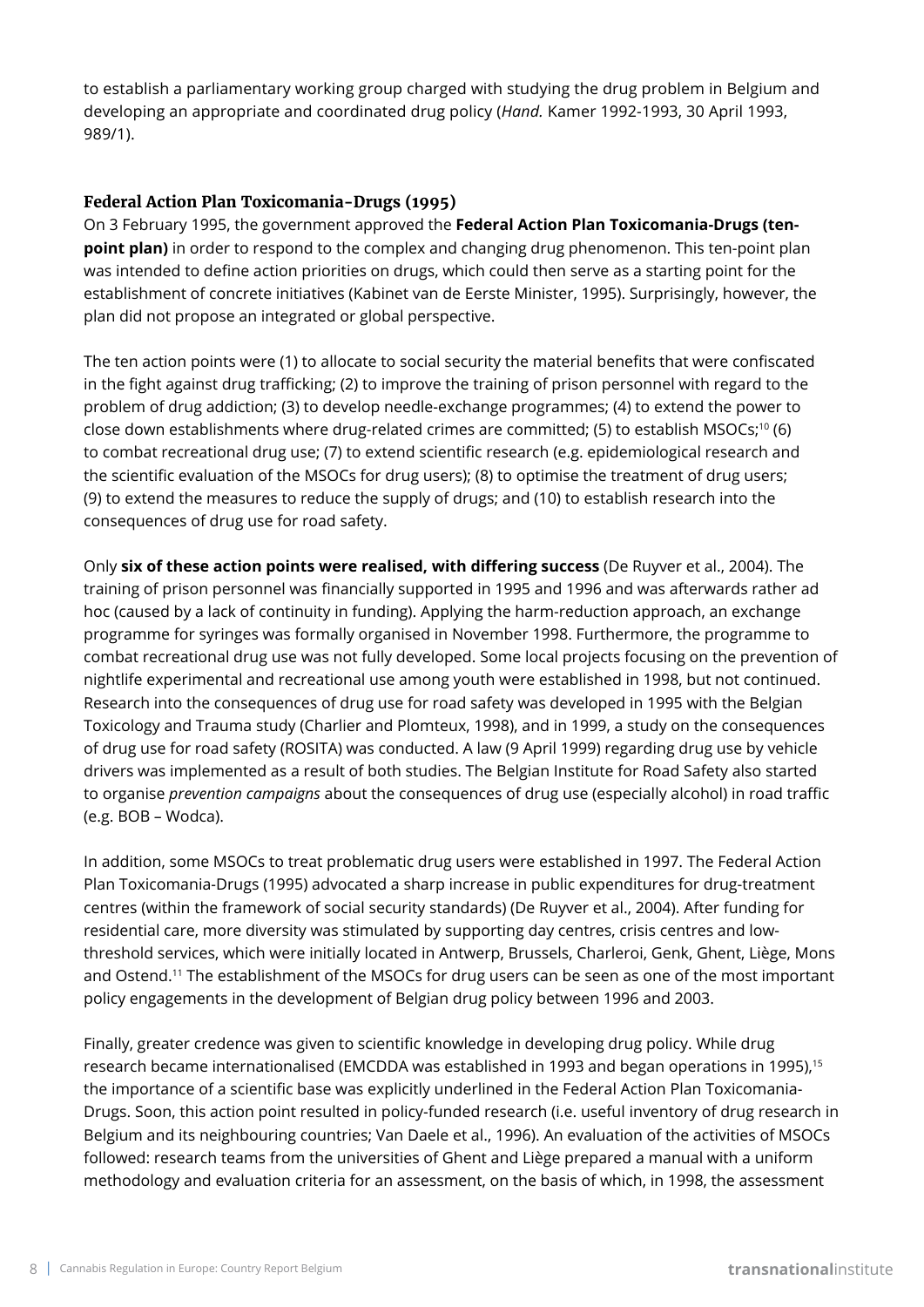to establish a parliamentary working group charged with studying the drug problem in Belgium and developing an appropriate and coordinated drug policy (*Hand.* Kamer 1992-1993, 30 April 1993, 989/1).

### **Federal Action Plan Toxicomania-Drugs (1995)**

On 3 February 1995, the government approved the **Federal Action Plan Toxicomania-Drugs (tenpoint plan)** in order to respond to the complex and changing drug phenomenon. This ten-point plan was intended to define action priorities on drugs, which could then serve as a starting point for the establishment of concrete initiatives (Kabinet van de Eerste Minister, 1995). Surprisingly, however, the plan did not propose an integrated or global perspective.

The ten action points were (1) to allocate to social security the material benefits that were confiscated in the fight against drug trafficking; (2) to improve the training of prison personnel with regard to the problem of drug addiction; (3) to develop needle-exchange programmes; (4) to extend the power to close down establishments where drug-related crimes are committed; (5) to establish MSOCs;<sup>10</sup> (6) to combat recreational drug use; (7) to extend scientific research (e.g. epidemiological research and the scientific evaluation of the MSOCs for drug users); (8) to optimise the treatment of drug users; (9) to extend the measures to reduce the supply of drugs; and (10) to establish research into the consequences of drug use for road safety.

Only **six of these action points were realised, with differing success** (De Ruyver et al., 2004). The training of prison personnel was financially supported in 1995 and 1996 and was afterwards rather ad hoc (caused by a lack of continuity in funding). Applying the harm-reduction approach, an exchange programme for syringes was formally organised in November 1998. Furthermore, the programme to combat recreational drug use was not fully developed. Some local projects focusing on the prevention of nightlife experimental and recreational use among youth were established in 1998, but not continued. Research into the consequences of drug use for road safety was developed in 1995 with the Belgian Toxicology and Trauma study (Charlier and Plomteux, 1998), and in 1999, a study on the consequences of drug use for road safety (ROSITA) was conducted. A law (9 April 1999) regarding drug use by vehicle drivers was implemented as a result of both studies. The Belgian Institute for Road Safety also started to organise *prevention campaigns* about the consequences of drug use (especially alcohol) in road traffic (e.g. BOB – Wodca).

In addition, some MSOCs to treat problematic drug users were established in 1997. The Federal Action Plan Toxicomania-Drugs (1995) advocated a sharp increase in public expenditures for drug-treatment centres (within the framework of social security standards) (De Ruyver et al., 2004). After funding for residential care, more diversity was stimulated by supporting day centres, crisis centres and lowthreshold services, which were initially located in Antwerp, Brussels, Charleroi, Genk, Ghent, Liège, Mons and Ostend.11 The establishment of the MSOCs for drug users can be seen as one of the most important policy engagements in the development of Belgian drug policy between 1996 and 2003.

Finally, greater credence was given to scientific knowledge in developing drug policy. While drug research became internationalised (EMCDDA was established in 1993 and began operations in 1995).<sup>15</sup> the importance of a scientific base was explicitly underlined in the Federal Action Plan Toxicomania-Drugs. Soon, this action point resulted in policy-funded research (i.e. useful inventory of drug research in Belgium and its neighbouring countries; Van Daele et al., 1996). An evaluation of the activities of MSOCs followed: research teams from the universities of Ghent and Liège prepared a manual with a uniform methodology and evaluation criteria for an assessment, on the basis of which, in 1998, the assessment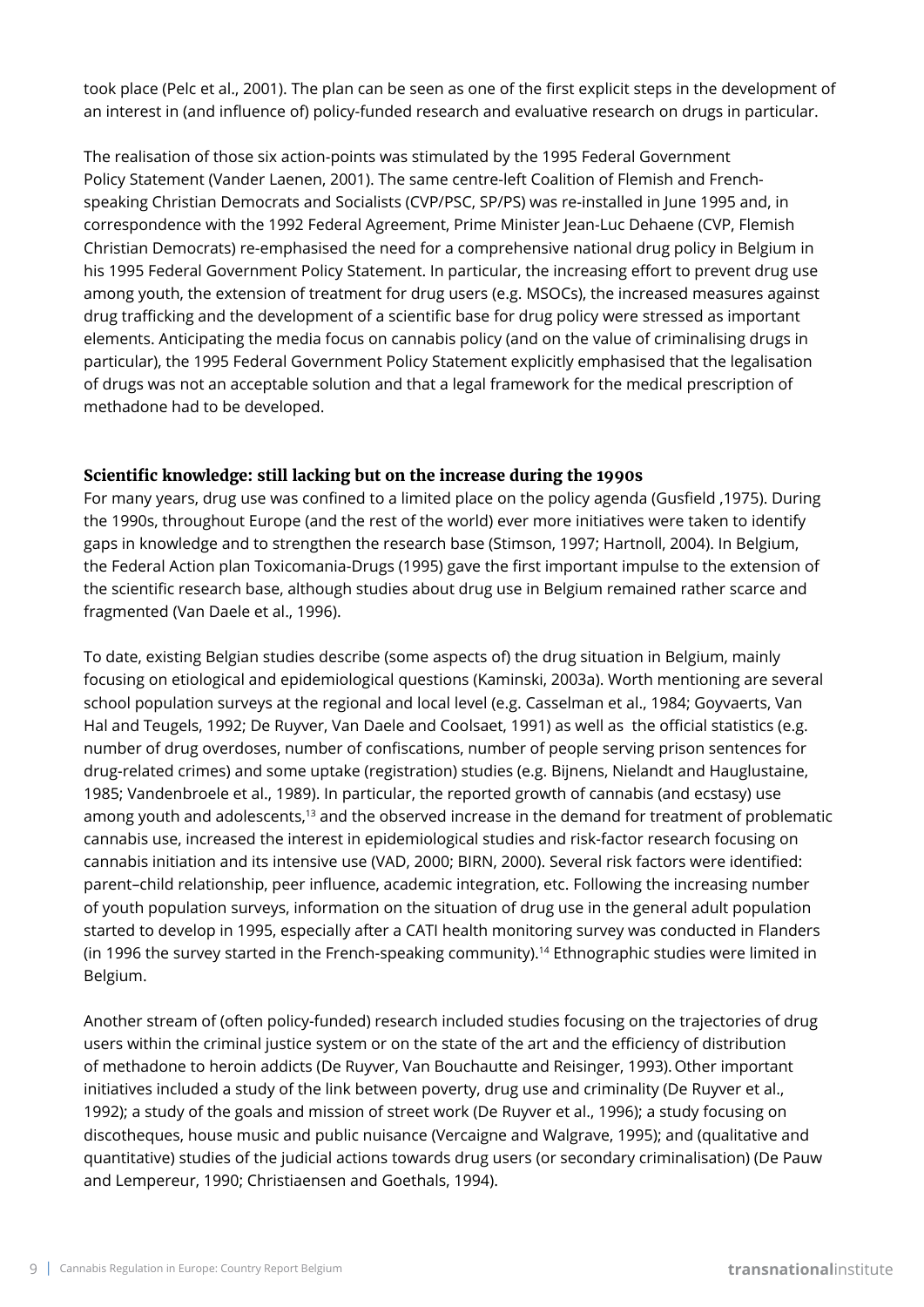took place (Pelc et al., 2001). The plan can be seen as one of the first explicit steps in the development of an interest in (and influence of) policy-funded research and evaluative research on drugs in particular.

The realisation of those six action-points was stimulated by the 1995 Federal Government Policy Statement (Vander Laenen, 2001). The same centre-left Coalition of Flemish and Frenchspeaking Christian Democrats and Socialists (CVP/PSC, SP/PS) was re-installed in June 1995 and, in correspondence with the 1992 Federal Agreement, Prime Minister Jean-Luc Dehaene (CVP, Flemish Christian Democrats) re-emphasised the need for a comprehensive national drug policy in Belgium in his 1995 Federal Government Policy Statement. In particular, the increasing effort to prevent drug use among youth, the extension of treatment for drug users (e.g. MSOCs), the increased measures against drug trafficking and the development of a scientific base for drug policy were stressed as important elements. Anticipating the media focus on cannabis policy (and on the value of criminalising drugs in particular), the 1995 Federal Government Policy Statement explicitly emphasised that the legalisation of drugs was not an acceptable solution and that a legal framework for the medical prescription of methadone had to be developed.

### **Scientific knowledge: still lacking but on the increase during the 1990s**

For many years, drug use was confined to a limited place on the policy agenda (Gusfield ,1975). During the 1990s, throughout Europe (and the rest of the world) ever more initiatives were taken to identify gaps in knowledge and to strengthen the research base (Stimson, 1997; Hartnoll, 2004). In Belgium, the Federal Action plan Toxicomania-Drugs (1995) gave the first important impulse to the extension of the scientific research base, although studies about drug use in Belgium remained rather scarce and fragmented (Van Daele et al., 1996).

To date, existing Belgian studies describe (some aspects of) the drug situation in Belgium, mainly focusing on etiological and epidemiological questions (Kaminski, 2003a). Worth mentioning are several school population surveys at the regional and local level (e.g. Casselman et al., 1984; Goyvaerts, Van Hal and Teugels, 1992; De Ruyver, Van Daele and Coolsaet, 1991) as well as the official statistics (e.g. number of drug overdoses, number of confiscations, number of people serving prison sentences for drug-related crimes) and some uptake (registration) studies (e.g. Bijnens, Nielandt and Hauglustaine, 1985; Vandenbroele et al., 1989). In particular, the reported growth of cannabis (and ecstasy) use among youth and adolescents,<sup>13</sup> and the observed increase in the demand for treatment of problematic cannabis use, increased the interest in epidemiological studies and risk-factor research focusing on cannabis initiation and its intensive use (VAD, 2000; BIRN, 2000). Several risk factors were identified: parent–child relationship, peer influence, academic integration, etc. Following the increasing number of youth population surveys, information on the situation of drug use in the general adult population started to develop in 1995, especially after a CATI health monitoring survey was conducted in Flanders (in 1996 the survey started in the French-speaking community).14 Ethnographic studies were limited in Belgium.

Another stream of (often policy-funded) research included studies focusing on the trajectories of drug users within the criminal justice system or on the state of the art and the efficiency of distribution of methadone to heroin addicts (De Ruyver, Van Bouchautte and Reisinger, 1993). Other important initiatives included a study of the link between poverty, drug use and criminality (De Ruyver et al., 1992); a study of the goals and mission of street work (De Ruyver et al., 1996); a study focusing on discotheques, house music and public nuisance (Vercaigne and Walgrave, 1995); and (qualitative and quantitative) studies of the judicial actions towards drug users (or secondary criminalisation) (De Pauw and Lempereur, 1990; Christiaensen and Goethals, 1994).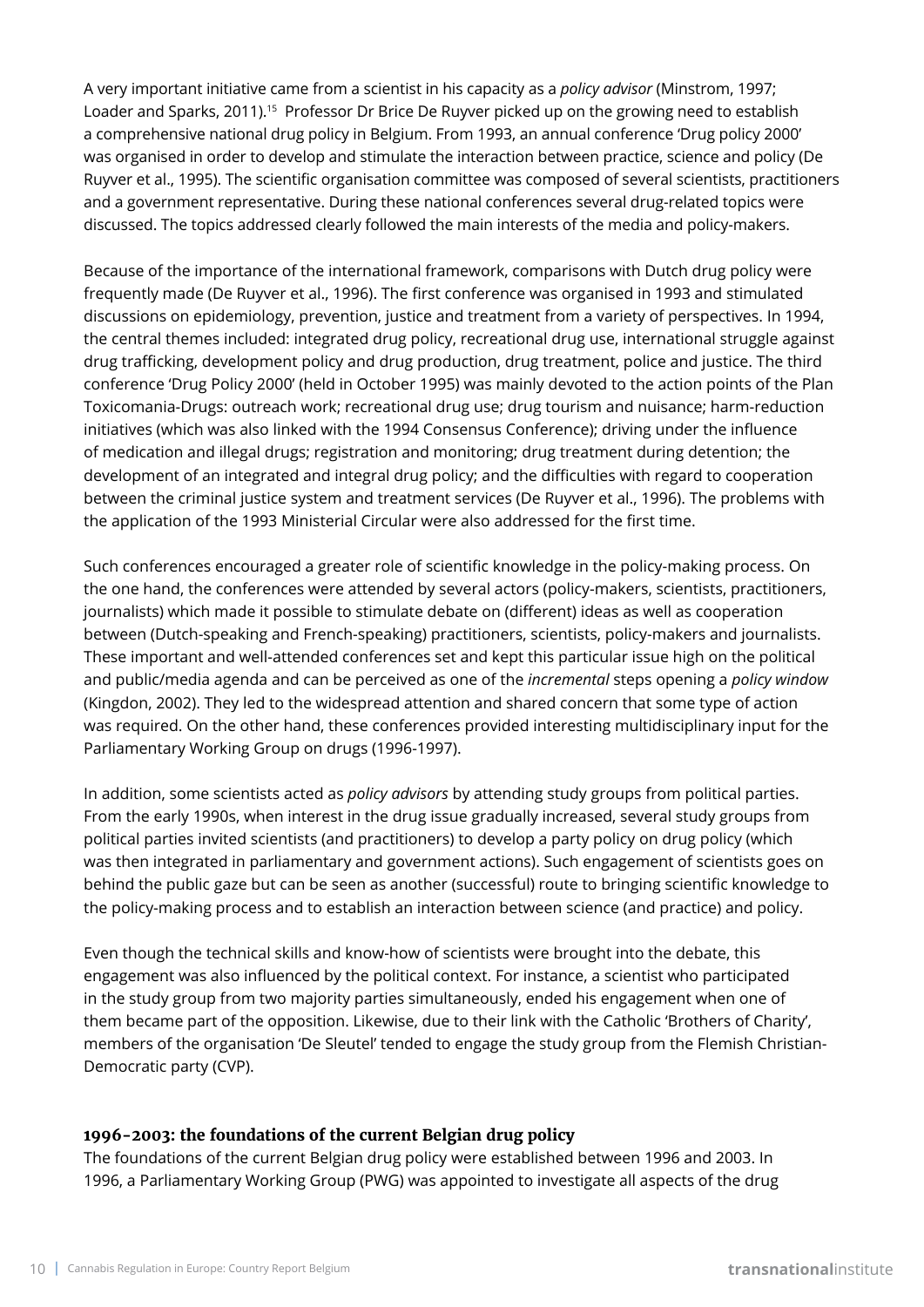A very important initiative came from a scientist in his capacity as a *policy advisor* (Minstrom, 1997; Loader and Sparks, 2011).<sup>15</sup> Professor Dr Brice De Ruyver picked up on the growing need to establish a comprehensive national drug policy in Belgium. From 1993, an annual conference 'Drug policy 2000' was organised in order to develop and stimulate the interaction between practice, science and policy (De Ruyver et al., 1995). The scientific organisation committee was composed of several scientists, practitioners and a government representative. During these national conferences several drug-related topics were discussed. The topics addressed clearly followed the main interests of the media and policy-makers.

Because of the importance of the international framework, comparisons with Dutch drug policy were frequently made (De Ruyver et al., 1996). The first conference was organised in 1993 and stimulated discussions on epidemiology, prevention, justice and treatment from a variety of perspectives. In 1994, the central themes included: integrated drug policy, recreational drug use, international struggle against drug trafficking, development policy and drug production, drug treatment, police and justice. The third conference 'Drug Policy 2000' (held in October 1995) was mainly devoted to the action points of the Plan Toxicomania-Drugs: outreach work; recreational drug use; drug tourism and nuisance; harm-reduction initiatives (which was also linked with the 1994 Consensus Conference); driving under the influence of medication and illegal drugs; registration and monitoring; drug treatment during detention; the development of an integrated and integral drug policy; and the difficulties with regard to cooperation between the criminal justice system and treatment services (De Ruyver et al., 1996). The problems with the application of the 1993 Ministerial Circular were also addressed for the first time.

Such conferences encouraged a greater role of scientific knowledge in the policy-making process. On the one hand, the conferences were attended by several actors (policy-makers, scientists, practitioners, journalists) which made it possible to stimulate debate on (different) ideas as well as cooperation between (Dutch-speaking and French-speaking) practitioners, scientists, policy-makers and journalists. These important and well-attended conferences set and kept this particular issue high on the political and public/media agenda and can be perceived as one of the *incremental* steps opening a *policy window*  (Kingdon, 2002). They led to the widespread attention and shared concern that some type of action was required. On the other hand, these conferences provided interesting multidisciplinary input for the Parliamentary Working Group on drugs (1996-1997).

In addition, some scientists acted as *policy advisors* by attending study groups from political parties. From the early 1990s, when interest in the drug issue gradually increased, several study groups from political parties invited scientists (and practitioners) to develop a party policy on drug policy (which was then integrated in parliamentary and government actions). Such engagement of scientists goes on behind the public gaze but can be seen as another (successful) route to bringing scientific knowledge to the policy-making process and to establish an interaction between science (and practice) and policy.

Even though the technical skills and know-how of scientists were brought into the debate, this engagement was also influenced by the political context. For instance, a scientist who participated in the study group from two majority parties simultaneously, ended his engagement when one of them became part of the opposition. Likewise, due to their link with the Catholic 'Brothers of Charity', members of the organisation 'De Sleutel' tended to engage the study group from the Flemish Christian-Democratic party (CVP).

### **1996-2003: the foundations of the current Belgian drug policy**

The foundations of the current Belgian drug policy were established between 1996 and 2003. In 1996, a Parliamentary Working Group (PWG) was appointed to investigate all aspects of the drug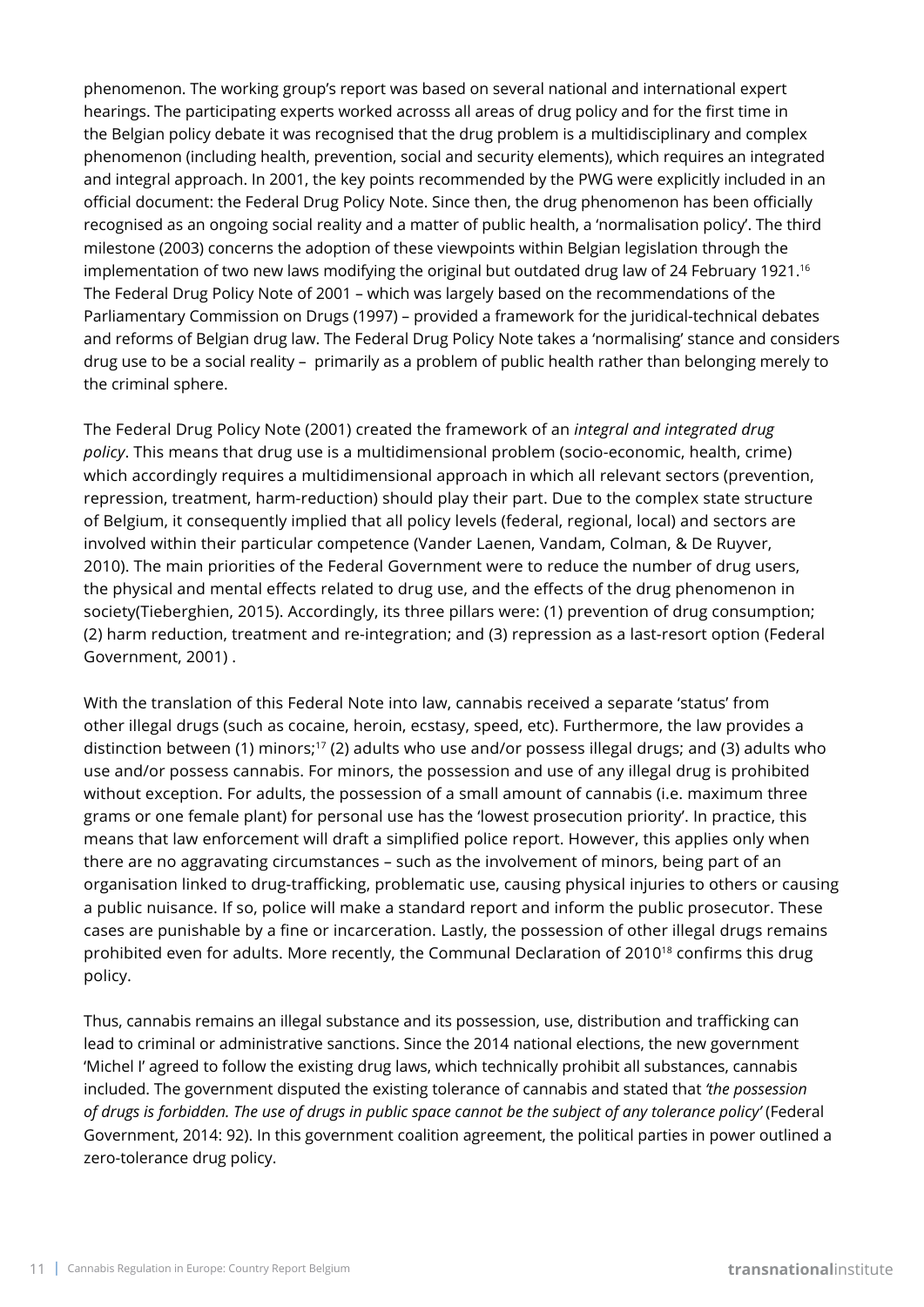phenomenon. The working group's report was based on several national and international expert hearings. The participating experts worked acrosss all areas of drug policy and for the first time in the Belgian policy debate it was recognised that the drug problem is a multidisciplinary and complex phenomenon (including health, prevention, social and security elements), which requires an integrated and integral approach. In 2001, the key points recommended by the PWG were explicitly included in an official document: the Federal Drug Policy Note. Since then, the drug phenomenon has been officially recognised as an ongoing social reality and a matter of public health, a 'normalisation policy'. The third milestone (2003) concerns the adoption of these viewpoints within Belgian legislation through the implementation of two new laws modifying the original but outdated drug law of 24 February 1921.<sup>16</sup> The Federal Drug Policy Note of 2001 – which was largely based on the recommendations of the Parliamentary Commission on Drugs (1997) – provided a framework for the juridical-technical debates and reforms of Belgian drug law. The Federal Drug Policy Note takes a 'normalising' stance and considers drug use to be a social reality – primarily as a problem of public health rather than belonging merely to the criminal sphere.

The Federal Drug Policy Note (2001) created the framework of an *integral and integrated drug policy*. This means that drug use is a multidimensional problem (socio-economic, health, crime) which accordingly requires a multidimensional approach in which all relevant sectors (prevention, repression, treatment, harm-reduction) should play their part. Due to the complex state structure of Belgium, it consequently implied that all policy levels (federal, regional, local) and sectors are involved within their particular competence (Vander Laenen, Vandam, Colman, & De Ruyver, 2010). The main priorities of the Federal Government were to reduce the number of drug users, the physical and mental effects related to drug use, and the effects of the drug phenomenon in society(Tieberghien, 2015). Accordingly, its three pillars were: (1) prevention of drug consumption; (2) harm reduction, treatment and re-integration; and (3) repression as a last-resort option (Federal Government, 2001) .

With the translation of this Federal Note into law, cannabis received a separate 'status' from other illegal drugs (such as cocaine, heroin, ecstasy, speed, etc). Furthermore, the law provides a distinction between (1) minors;<sup>17</sup> (2) adults who use and/or possess illegal drugs; and (3) adults who use and/or possess cannabis. For minors, the possession and use of any illegal drug is prohibited without exception. For adults, the possession of a small amount of cannabis (i.e. maximum three grams or one female plant) for personal use has the 'lowest prosecution priority'. In practice, this means that law enforcement will draft a simplified police report. However, this applies only when there are no aggravating circumstances – such as the involvement of minors, being part of an organisation linked to drug-trafficking, problematic use, causing physical injuries to others or causing a public nuisance. If so, police will make a standard report and inform the public prosecutor. These cases are punishable by a fine or incarceration. Lastly, the possession of other illegal drugs remains prohibited even for adults. More recently, the Communal Declaration of 2010<sup>18</sup> confirms this drug policy.

Thus, cannabis remains an illegal substance and its possession, use, distribution and trafficking can lead to criminal or administrative sanctions. Since the 2014 national elections, the new government 'Michel I' agreed to follow the existing drug laws, which technically prohibit all substances, cannabis included. The government disputed the existing tolerance of cannabis and stated that *'the possession of drugs is forbidden. The use of drugs in public space cannot be the subject of any tolerance policy'* (Federal Government, 2014: 92). In this government coalition agreement, the political parties in power outlined a zero-tolerance drug policy.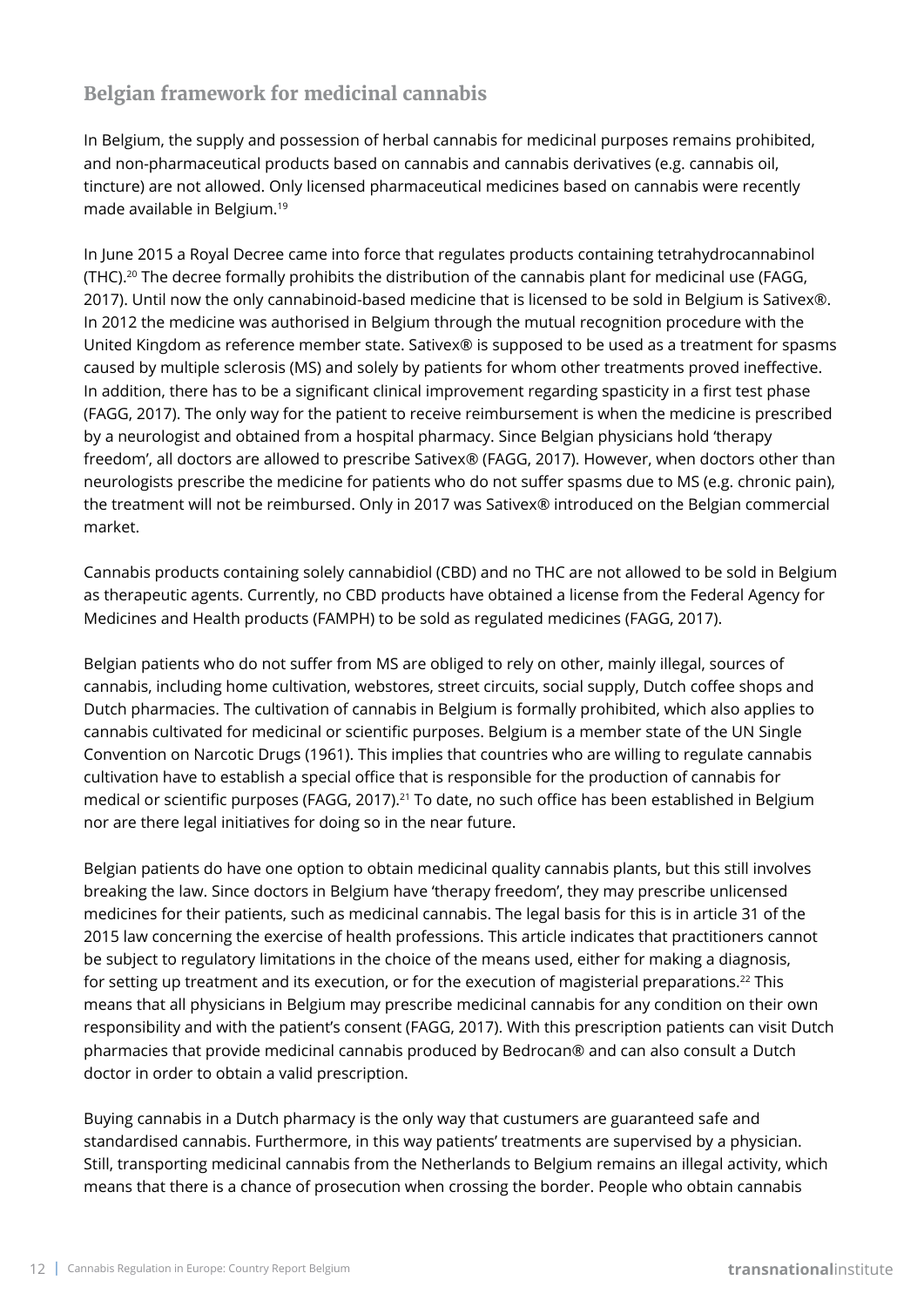# **Belgian framework for medicinal cannabis**

In Belgium, the supply and possession of herbal cannabis for medicinal purposes remains prohibited, and non-pharmaceutical products based on cannabis and cannabis derivatives (e.g. cannabis oil, tincture) are not allowed. Only licensed pharmaceutical medicines based on cannabis were recently made available in Belgium.19

In June 2015 a Royal Decree came into force that regulates products containing tetrahydrocannabinol (THC).<sup>20</sup> The decree formally prohibits the distribution of the cannabis plant for medicinal use (FAGG, 2017). Until now the only cannabinoid-based medicine that is licensed to be sold in Belgium is Sativex®. In 2012 the medicine was authorised in Belgium through the mutual recognition procedure with the United Kingdom as reference member state. Sativex® is supposed to be used as a treatment for spasms caused by multiple sclerosis (MS) and solely by patients for whom other treatments proved ineffective. In addition, there has to be a significant clinical improvement regarding spasticity in a first test phase (FAGG, 2017). The only way for the patient to receive reimbursement is when the medicine is prescribed by a neurologist and obtained from a hospital pharmacy. Since Belgian physicians hold 'therapy freedom', all doctors are allowed to prescribe Sativex® (FAGG, 2017). However, when doctors other than neurologists prescribe the medicine for patients who do not suffer spasms due to MS (e.g. chronic pain), the treatment will not be reimbursed. Only in 2017 was Sativex® introduced on the Belgian commercial market.

Cannabis products containing solely cannabidiol (CBD) and no THC are not allowed to be sold in Belgium as therapeutic agents. Currently, no CBD products have obtained a license from the Federal Agency for Medicines and Health products (FAMPH) to be sold as regulated medicines (FAGG, 2017).

Belgian patients who do not suffer from MS are obliged to rely on other, mainly illegal, sources of cannabis, including home cultivation, webstores, street circuits, social supply, Dutch coffee shops and Dutch pharmacies. The cultivation of cannabis in Belgium is formally prohibited, which also applies to cannabis cultivated for medicinal or scientific purposes. Belgium is a member state of the UN Single Convention on Narcotic Drugs (1961). This implies that countries who are willing to regulate cannabis cultivation have to establish a special office that is responsible for the production of cannabis for medical or scientific purposes (FAGG, 2017).<sup>21</sup> To date, no such office has been established in Belgium nor are there legal initiatives for doing so in the near future.

Belgian patients do have one option to obtain medicinal quality cannabis plants, but this still involves breaking the law. Since doctors in Belgium have 'therapy freedom', they may prescribe unlicensed medicines for their patients, such as medicinal cannabis. The legal basis for this is in article 31 of the 2015 law concerning the exercise of health professions. This article indicates that practitioners cannot be subject to regulatory limitations in the choice of the means used, either for making a diagnosis, for setting up treatment and its execution, or for the execution of magisterial preparations.<sup>22</sup> This means that all physicians in Belgium may prescribe medicinal cannabis for any condition on their own responsibility and with the patient's consent (FAGG, 2017). With this prescription patients can visit Dutch pharmacies that provide medicinal cannabis produced by Bedrocan® and can also consult a Dutch doctor in order to obtain a valid prescription.

Buying cannabis in a Dutch pharmacy is the only way that custumers are guaranteed safe and standardised cannabis. Furthermore, in this way patients' treatments are supervised by a physician. Still, transporting medicinal cannabis from the Netherlands to Belgium remains an illegal activity, which means that there is a chance of prosecution when crossing the border. People who obtain cannabis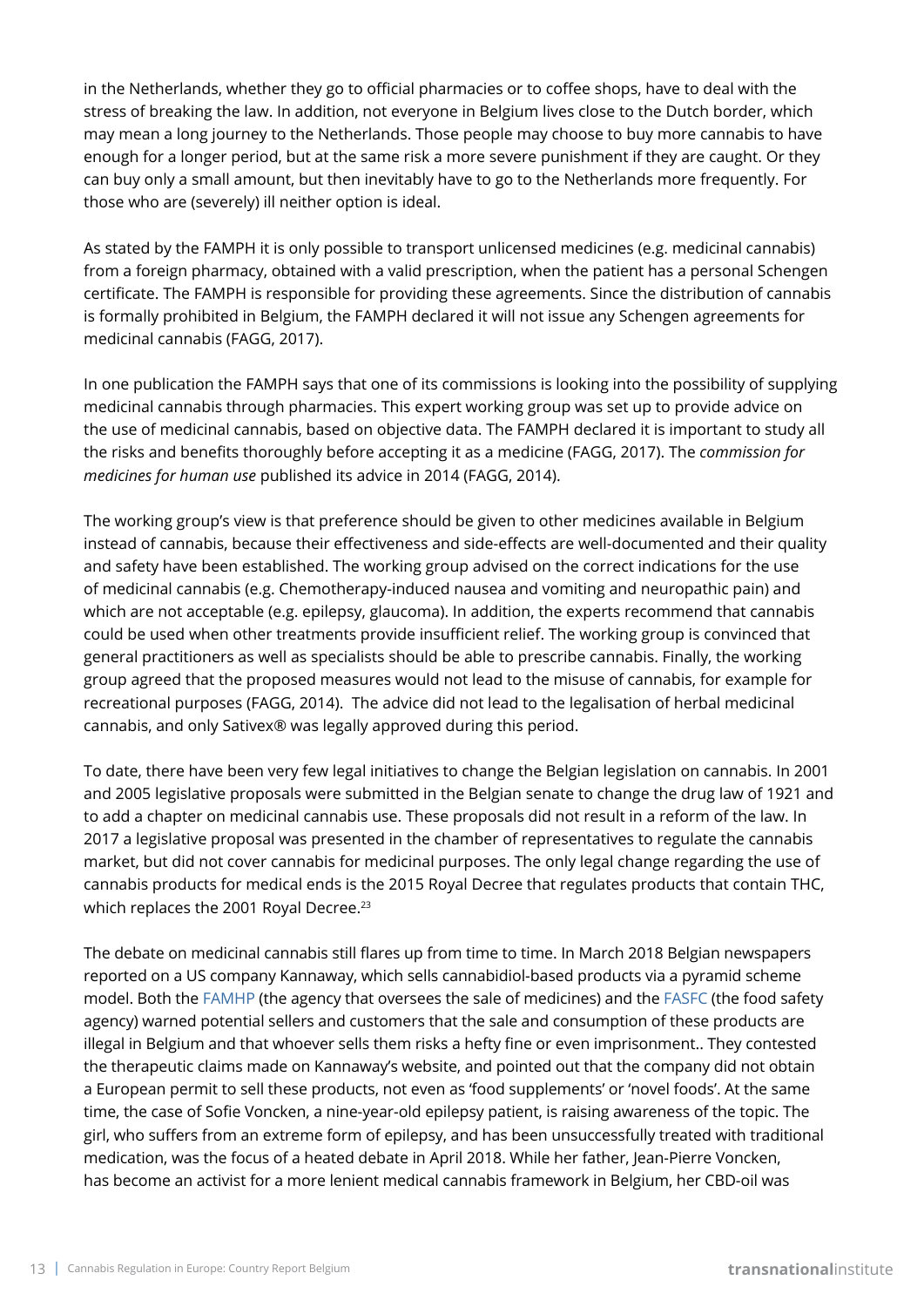in the Netherlands, whether they go to official pharmacies or to coffee shops, have to deal with the stress of breaking the law. In addition, not everyone in Belgium lives close to the Dutch border, which may mean a long journey to the Netherlands. Those people may choose to buy more cannabis to have enough for a longer period, but at the same risk a more severe punishment if they are caught. Or they can buy only a small amount, but then inevitably have to go to the Netherlands more frequently. For those who are (severely) ill neither option is ideal.

As stated by the FAMPH it is only possible to transport unlicensed medicines (e.g. medicinal cannabis) from a foreign pharmacy, obtained with a valid prescription, when the patient has a personal Schengen certificate. The FAMPH is responsible for providing these agreements. Since the distribution of cannabis is formally prohibited in Belgium, the FAMPH declared it will not issue any Schengen agreements for medicinal cannabis (FAGG, 2017).

In one publication the FAMPH says that one of its commissions is looking into the possibility of supplying medicinal cannabis through pharmacies. This expert working group was set up to provide advice on the use of medicinal cannabis, based on objective data. The FAMPH declared it is important to study all the risks and benefits thoroughly before accepting it as a medicine (FAGG, 2017). The *commission for medicines for human use* published its advice in 2014 (FAGG, 2014).

The working group's view is that preference should be given to other medicines available in Belgium instead of cannabis, because their effectiveness and side-effects are well-documented and their quality and safety have been established. The working group advised on the correct indications for the use of medicinal cannabis (e.g. Chemotherapy-induced nausea and vomiting and neuropathic pain) and which are not acceptable (e.g. epilepsy, glaucoma). In addition, the experts recommend that cannabis could be used when other treatments provide insufficient relief. The working group is convinced that general practitioners as well as specialists should be able to prescribe cannabis. Finally, the working group agreed that the proposed measures would not lead to the misuse of cannabis, for example for recreational purposes (FAGG, 2014). The advice did not lead to the legalisation of herbal medicinal cannabis, and only Sativex® was legally approved during this period.

To date, there have been very few legal initiatives to change the Belgian legislation on cannabis. In 2001 and 2005 legislative proposals were submitted in the Belgian senate to change the drug law of 1921 and to add a chapter on medicinal cannabis use. These proposals did not result in a reform of the law. In 2017 a legislative proposal was presented in the chamber of representatives to regulate the cannabis market, but did not cover cannabis for medicinal purposes. The only legal change regarding the use of cannabis products for medical ends is the 2015 Royal Decree that regulates products that contain THC, which replaces the 2001 Royal Decree.<sup>23</sup>

The debate on medicinal cannabis still flares up from time to time. In March 2018 Belgian newspapers reported on a US company Kannaway, which sells cannabidiol-based products via a pyramid scheme model. Both the [FAMHP](https://www.famhp.be/en/famhp) (the agency that oversees the sale of medicines) and the [FASFC](http://www.afsca.be/home-en/) (the food safety agency) warned potential sellers and customers that the sale and consumption of these products are illegal in Belgium and that whoever sells them risks a hefty fine or even imprisonment.. They contested the therapeutic claims made on Kannaway's website, and pointed out that the company did not obtain a European permit to sell these products, not even as 'food supplements' or 'novel foods'. At the same time, the case of Sofie Voncken, a nine-year-old epilepsy patient, is raising awareness of the topic. The girl, who suffers from an extreme form of epilepsy, and has been unsuccessfully treated with traditional medication, was the focus of a heated debate in April 2018. While her father, Jean-Pierre Voncken, has become an activist for a more lenient medical cannabis framework in Belgium, her CBD-oil was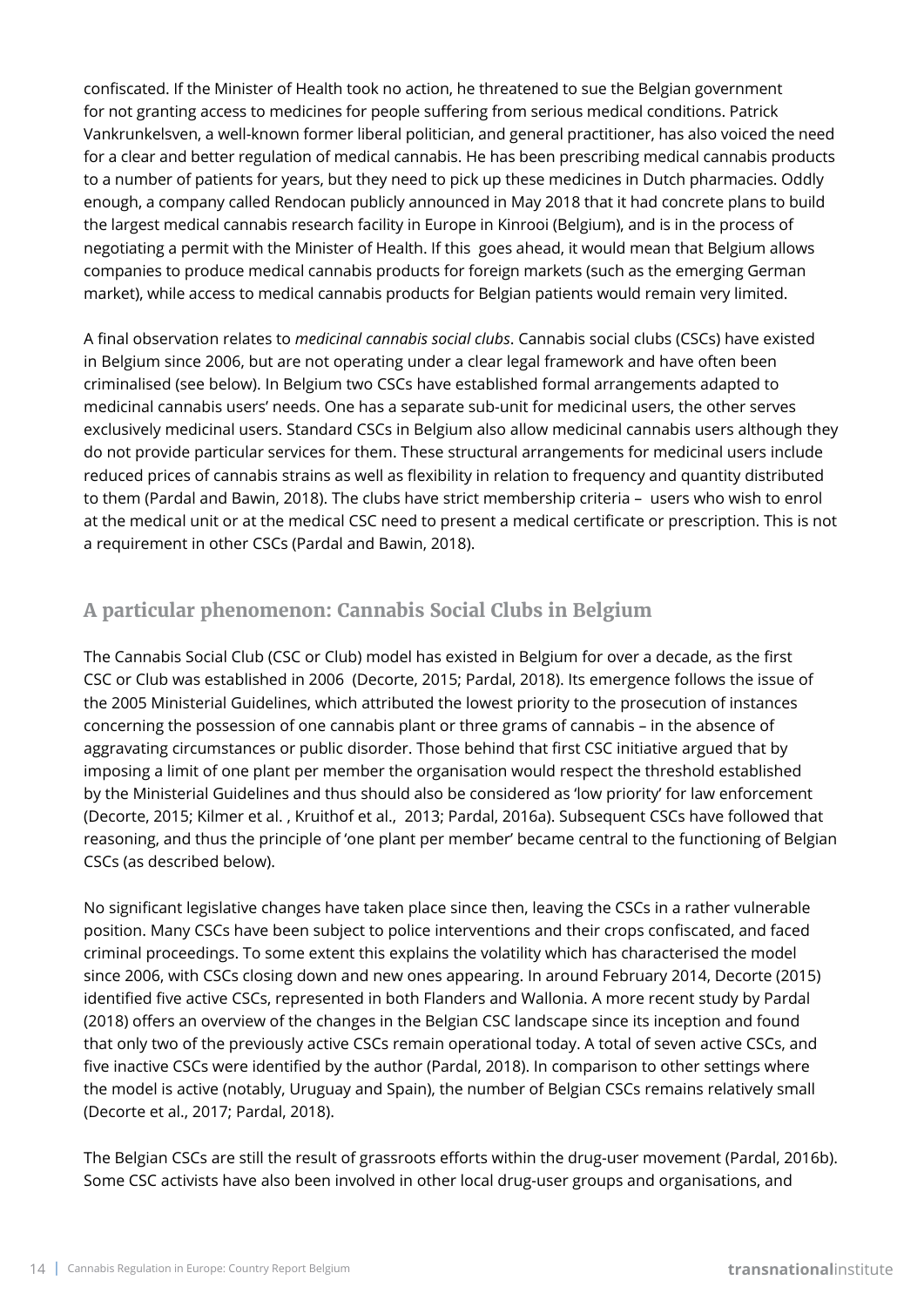confiscated. If the Minister of Health took no action, he threatened to sue the Belgian government for not granting access to medicines for people suffering from serious medical conditions. Patrick Vankrunkelsven, a well-known former liberal politician, and general practitioner, has also voiced the need for a clear and better regulation of medical cannabis. He has been prescribing medical cannabis products to a number of patients for years, but they need to pick up these medicines in Dutch pharmacies. Oddly enough, a company called Rendocan publicly announced in May 2018 that it had concrete plans to build the largest medical cannabis research facility in Europe in Kinrooi (Belgium), and is in the process of negotiating a permit with the Minister of Health. If this goes ahead, it would mean that Belgium allows companies to produce medical cannabis products for foreign markets (such as the emerging German market), while access to medical cannabis products for Belgian patients would remain very limited.

A final observation relates to *medicinal cannabis social clubs*. Cannabis social clubs (CSCs) have existed in Belgium since 2006, but are not operating under a clear legal framework and have often been criminalised (see below). In Belgium two CSCs have established formal arrangements adapted to medicinal cannabis users' needs. One has a separate sub-unit for medicinal users, the other serves exclusively medicinal users. Standard CSCs in Belgium also allow medicinal cannabis users although they do not provide particular services for them. These structural arrangements for medicinal users include reduced prices of cannabis strains as well as flexibility in relation to frequency and quantity distributed to them (Pardal and Bawin, 2018). The clubs have strict membership criteria – users who wish to enrol at the medical unit or at the medical CSC need to present a medical certificate or prescription. This is not a requirement in other CSCs (Pardal and Bawin, 2018).

# **A particular phenomenon: Cannabis Social Clubs in Belgium**

The Cannabis Social Club (CSC or Club) model has existed in Belgium for over a decade, as the first CSC or Club was established in 2006 (Decorte, 2015; Pardal, 2018). Its emergence follows the issue of the 2005 Ministerial Guidelines, which attributed the lowest priority to the prosecution of instances concerning the possession of one cannabis plant or three grams of cannabis – in the absence of aggravating circumstances or public disorder. Those behind that first CSC initiative argued that by imposing a limit of one plant per member the organisation would respect the threshold established by the Ministerial Guidelines and thus should also be considered as 'low priority' for law enforcement (Decorte, 2015; Kilmer et al. , Kruithof et al., 2013; Pardal, 2016a). Subsequent CSCs have followed that reasoning, and thus the principle of 'one plant per member' became central to the functioning of Belgian CSCs (as described below).

No significant legislative changes have taken place since then, leaving the CSCs in a rather vulnerable position. Many CSCs have been subject to police interventions and their crops confiscated, and faced criminal proceedings. To some extent this explains the volatility which has characterised the model since 2006, with CSCs closing down and new ones appearing. In around February 2014, Decorte (2015) identified five active CSCs, represented in both Flanders and Wallonia. A more recent study by Pardal (2018) offers an overview of the changes in the Belgian CSC landscape since its inception and found that only two of the previously active CSCs remain operational today. A total of seven active CSCs, and five inactive CSCs were identified by the author (Pardal, 2018). In comparison to other settings where the model is active (notably, Uruguay and Spain), the number of Belgian CSCs remains relatively small (Decorte et al., 2017; Pardal, 2018).

The Belgian CSCs are still the result of grassroots efforts within the drug-user movement (Pardal, 2016b). Some CSC activists have also been involved in other local drug-user groups and organisations, and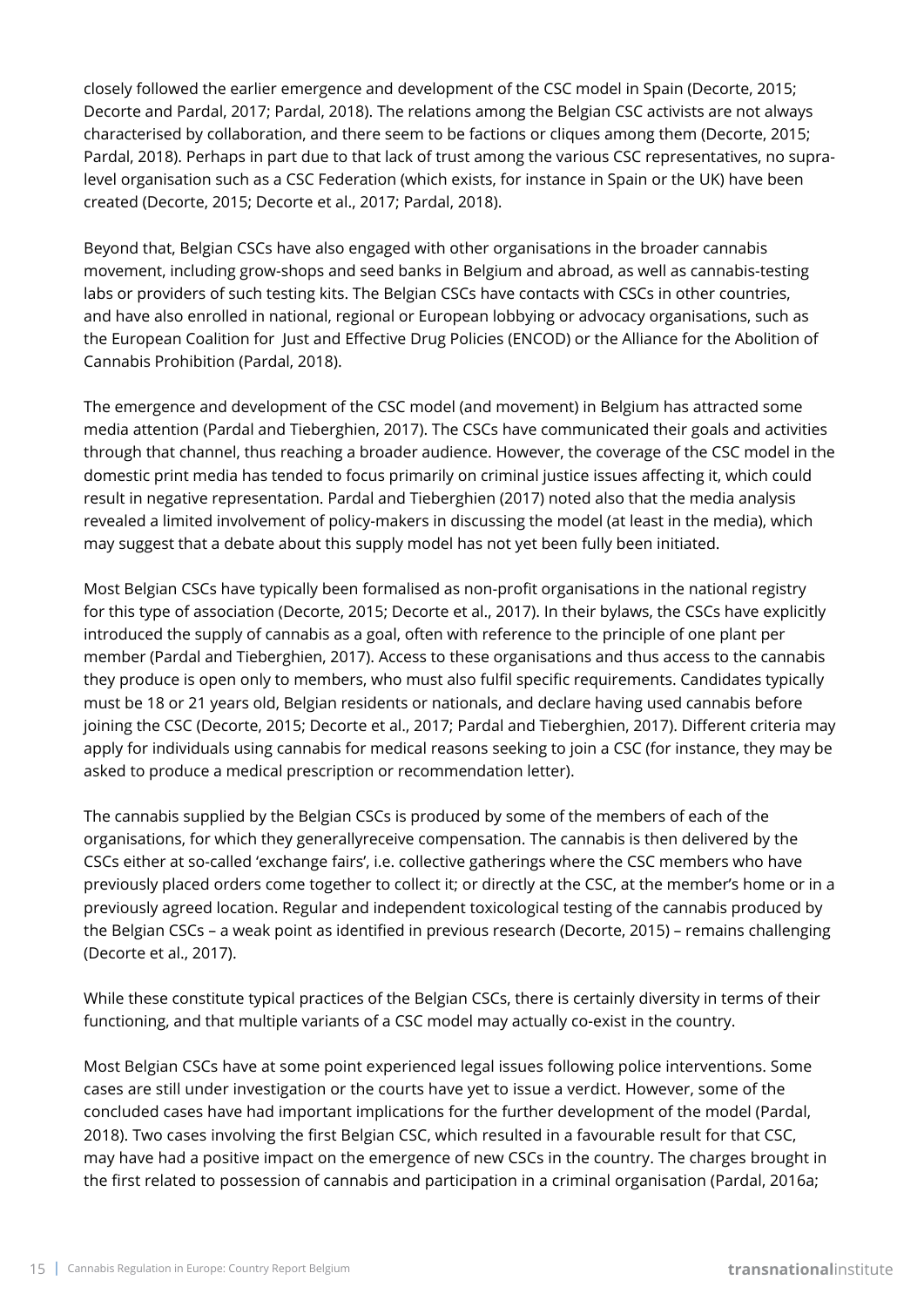closely followed the earlier emergence and development of the CSC model in Spain (Decorte, 2015; Decorte and Pardal, 2017; Pardal, 2018). The relations among the Belgian CSC activists are not always characterised by collaboration, and there seem to be factions or cliques among them (Decorte, 2015; Pardal, 2018). Perhaps in part due to that lack of trust among the various CSC representatives, no supralevel organisation such as a CSC Federation (which exists, for instance in Spain or the UK) have been created (Decorte, 2015; Decorte et al., 2017; Pardal, 2018).

Beyond that, Belgian CSCs have also engaged with other organisations in the broader cannabis movement, including grow-shops and seed banks in Belgium and abroad, as well as cannabis-testing labs or providers of such testing kits. The Belgian CSCs have contacts with CSCs in other countries, and have also enrolled in national, regional or European lobbying or advocacy organisations, such as the European Coalition for Just and Effective Drug Policies (ENCOD) or the Alliance for the Abolition of Cannabis Prohibition (Pardal, 2018).

The emergence and development of the CSC model (and movement) in Belgium has attracted some media attention (Pardal and Tieberghien, 2017). The CSCs have communicated their goals and activities through that channel, thus reaching a broader audience. However, the coverage of the CSC model in the domestic print media has tended to focus primarily on criminal justice issues affecting it, which could result in negative representation. Pardal and Tieberghien (2017) noted also that the media analysis revealed a limited involvement of policy-makers in discussing the model (at least in the media), which may suggest that a debate about this supply model has not yet been fully been initiated.

Most Belgian CSCs have typically been formalised as non-profit organisations in the national registry for this type of association (Decorte, 2015; Decorte et al., 2017). In their bylaws, the CSCs have explicitly introduced the supply of cannabis as a goal, often with reference to the principle of one plant per member (Pardal and Tieberghien, 2017). Access to these organisations and thus access to the cannabis they produce is open only to members, who must also fulfil specific requirements. Candidates typically must be 18 or 21 years old, Belgian residents or nationals, and declare having used cannabis before joining the CSC (Decorte, 2015; Decorte et al., 2017; Pardal and Tieberghien, 2017). Different criteria may apply for individuals using cannabis for medical reasons seeking to join a CSC (for instance, they may be asked to produce a medical prescription or recommendation letter).

The cannabis supplied by the Belgian CSCs is produced by some of the members of each of the organisations, for which they generallyreceive compensation. The cannabis is then delivered by the CSCs either at so-called 'exchange fairs', i.e. collective gatherings where the CSC members who have previously placed orders come together to collect it; or directly at the CSC, at the member's home or in a previously agreed location. Regular and independent toxicological testing of the cannabis produced by the Belgian CSCs – a weak point as identified in previous research (Decorte, 2015) – remains challenging (Decorte et al., 2017).

While these constitute typical practices of the Belgian CSCs, there is certainly diversity in terms of their functioning, and that multiple variants of a CSC model may actually co-exist in the country.

Most Belgian CSCs have at some point experienced legal issues following police interventions. Some cases are still under investigation or the courts have yet to issue a verdict. However, some of the concluded cases have had important implications for the further development of the model (Pardal, 2018). Two cases involving the first Belgian CSC, which resulted in a favourable result for that CSC, may have had a positive impact on the emergence of new CSCs in the country. The charges brought in the first related to possession of cannabis and participation in a criminal organisation (Pardal, 2016a;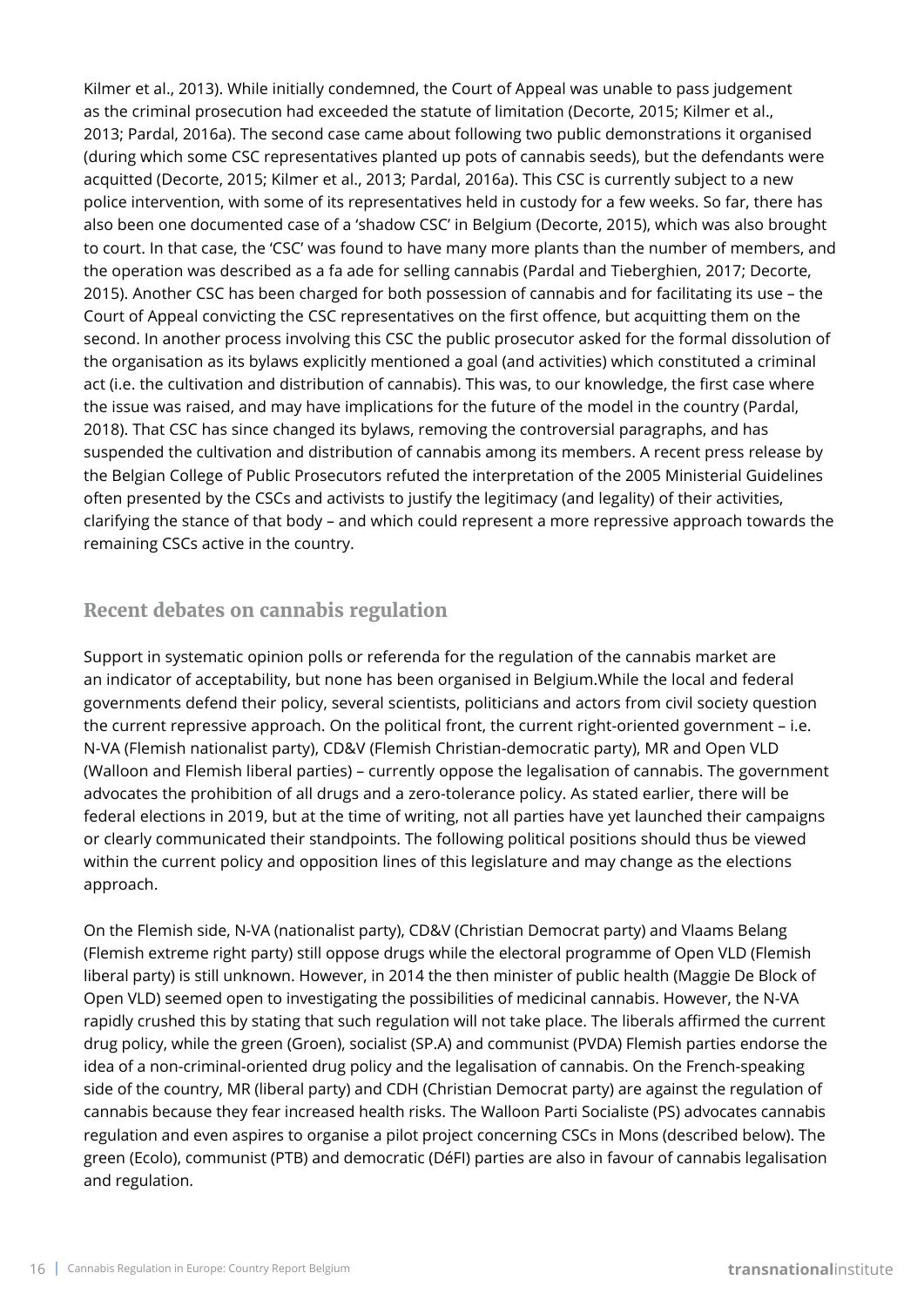Kilmer et al., 2013). While initially condemned, the Court of Appeal was unable to pass judgement as the criminal prosecution had exceeded the statute of limitation (Decorte, 2015; Kilmer et al., 2013; Pardal, 2016a). The second case came about following two public demonstrations it organised (during which some CSC representatives planted up pots of cannabis seeds), but the defendants were acquitted (Decorte, 2015; Kilmer et al., 2013; Pardal, 2016a). This CSC is currently subject to a new police intervention, with some of its representatives held in custody for a few weeks. So far, there has also been one documented case of a 'shadow CSC' in Belgium (Decorte, 2015), which was also brought to court. In that case, the 'CSC' was found to have many more plants than the number of members, and the operation was described as a fa ade for selling cannabis (Pardal and Tieberghien, 2017; Decorte, 2015). Another CSC has been charged for both possession of cannabis and for facilitating its use – the Court of Appeal convicting the CSC representatives on the first offence, but acquitting them on the second. In another process involving this CSC the public prosecutor asked for the formal dissolution of the organisation as its bylaws explicitly mentioned a goal (and activities) which constituted a criminal act (i.e. the cultivation and distribution of cannabis). This was, to our knowledge, the first case where the issue was raised, and may have implications for the future of the model in the country (Pardal, 2018). That CSC has since changed its bylaws, removing the controversial paragraphs, and has suspended the cultivation and distribution of cannabis among its members. A recent press release by the Belgian College of Public Prosecutors refuted the interpretation of the 2005 Ministerial Guidelines often presented by the CSCs and activists to justify the legitimacy (and legality) of their activities, clarifying the stance of that body – and which could represent a more repressive approach towards the remaining CSCs active in the country.

### **Recent debates on cannabis regulation**

Support in systematic opinion polls or referenda for the regulation of the cannabis market are an indicator of acceptability, but none has been organised in Belgium.While the local and federal governments defend their policy, several scientists, politicians and actors from civil society question the current repressive approach. On the political front, the current right-oriented government – i.e. N-VA (Flemish nationalist party), CD&V (Flemish Christian-democratic party), MR and Open VLD (Walloon and Flemish liberal parties) – currently oppose the legalisation of cannabis. The government advocates the prohibition of all drugs and a zero-tolerance policy. As stated earlier, there will be federal elections in 2019, but at the time of writing, not all parties have yet launched their campaigns or clearly communicated their standpoints. The following political positions should thus be viewed within the current policy and opposition lines of this legislature and may change as the elections approach.

On the Flemish side, N-VA (nationalist party), CD&V (Christian Democrat party) and Vlaams Belang (Flemish extreme right party) still oppose drugs while the electoral programme of Open VLD (Flemish liberal party) is still unknown. However, in 2014 the then minister of public health (Maggie De Block of Open VLD) seemed open to investigating the possibilities of medicinal cannabis. However, the N-VA rapidly crushed this by stating that such regulation will not take place. The liberals affirmed the current drug policy, while the green (Groen), socialist (SP.A) and communist (PVDA) Flemish parties endorse the idea of a non-criminal-oriented drug policy and the legalisation of cannabis. On the French-speaking side of the country, MR (liberal party) and CDH (Christian Democrat party) are against the regulation of cannabis because they fear increased health risks. The Walloon Parti Socialiste (PS) advocates cannabis regulation and even aspires to organise a pilot project concerning CSCs in Mons (described below). The green (Ecolo), communist (PTB) and democratic (DéFI) parties are also in favour of cannabis legalisation and regulation.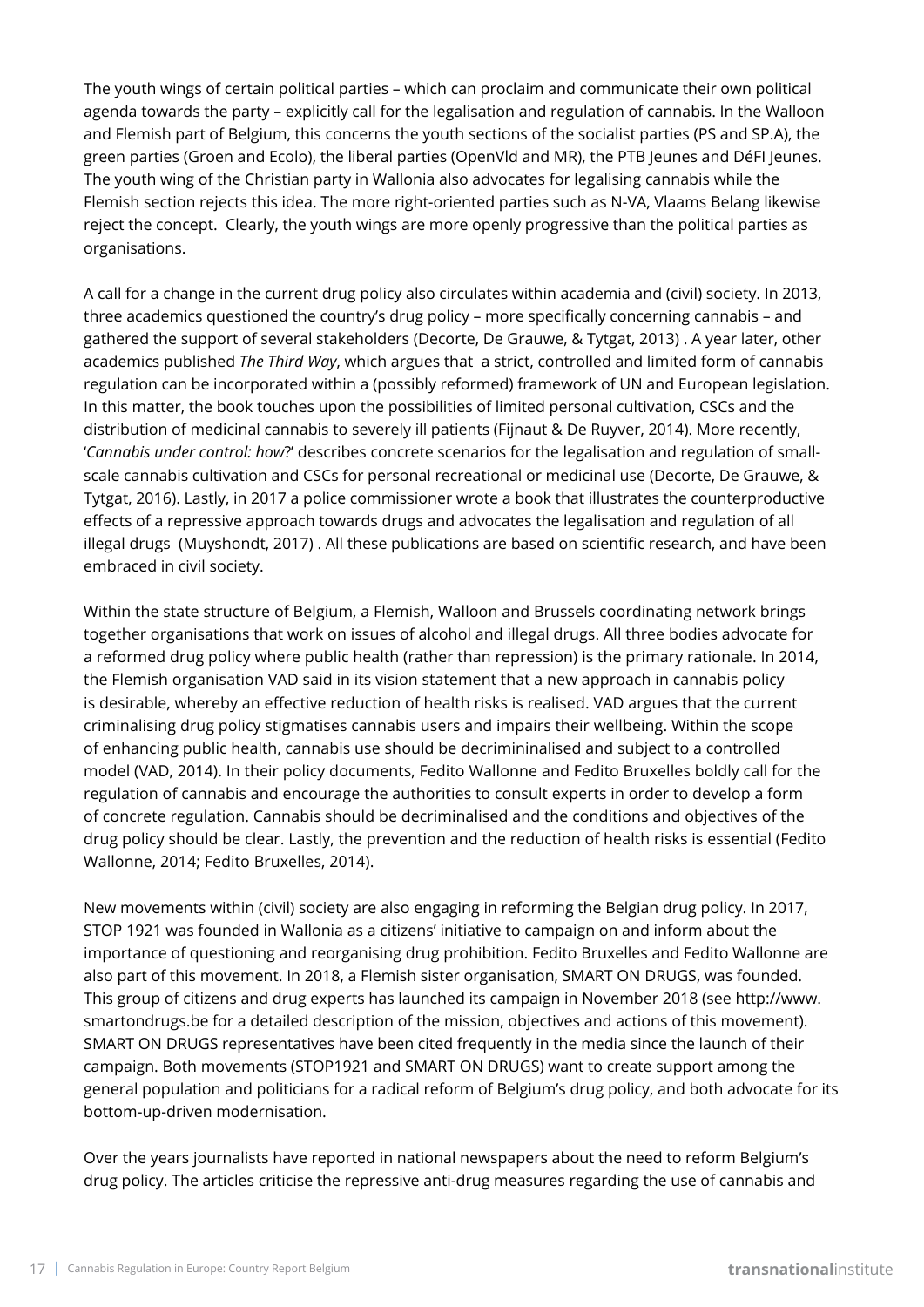The youth wings of certain political parties – which can proclaim and communicate their own political agenda towards the party – explicitly call for the legalisation and regulation of cannabis. In the Walloon and Flemish part of Belgium, this concerns the youth sections of the socialist parties (PS and SP.A), the green parties (Groen and Ecolo), the liberal parties (OpenVld and MR), the PTB Jeunes and DéFI Jeunes. The youth wing of the Christian party in Wallonia also advocates for legalising cannabis while the Flemish section rejects this idea. The more right-oriented parties such as N-VA, Vlaams Belang likewise reject the concept. Clearly, the youth wings are more openly progressive than the political parties as organisations.

A call for a change in the current drug policy also circulates within academia and (civil) society. In 2013, three academics questioned the country's drug policy – more specifically concerning cannabis – and gathered the support of several stakeholders (Decorte, De Grauwe, & Tytgat, 2013) . A year later, other academics published *The Third Way*, which argues that a strict, controlled and limited form of cannabis regulation can be incorporated within a (possibly reformed) framework of UN and European legislation. In this matter, the book touches upon the possibilities of limited personal cultivation, CSCs and the distribution of medicinal cannabis to severely ill patients (Fijnaut & De Ruyver, 2014). More recently, '*Cannabis under control: how*?' describes concrete scenarios for the legalisation and regulation of smallscale cannabis cultivation and CSCs for personal recreational or medicinal use (Decorte, De Grauwe, & Tytgat, 2016). Lastly, in 2017 a police commissioner wrote a book that illustrates the counterproductive effects of a repressive approach towards drugs and advocates the legalisation and regulation of all illegal drugs (Muyshondt, 2017) . All these publications are based on scientific research, and have been embraced in civil society.

Within the state structure of Belgium, a Flemish, Walloon and Brussels coordinating network brings together organisations that work on issues of alcohol and illegal drugs. All three bodies advocate for a reformed drug policy where public health (rather than repression) is the primary rationale. In 2014, the Flemish organisation VAD said in its vision statement that a new approach in cannabis policy is desirable, whereby an effective reduction of health risks is realised. VAD argues that the current criminalising drug policy stigmatises cannabis users and impairs their wellbeing. Within the scope of enhancing public health, cannabis use should be decrimininalised and subject to a controlled model (VAD, 2014). In their policy documents, Fedito Wallonne and Fedito Bruxelles boldly call for the regulation of cannabis and encourage the authorities to consult experts in order to develop a form of concrete regulation. Cannabis should be decriminalised and the conditions and objectives of the drug policy should be clear. Lastly, the prevention and the reduction of health risks is essential (Fedito Wallonne, 2014; Fedito Bruxelles, 2014).

New movements within (civil) society are also engaging in reforming the Belgian drug policy. In 2017, STOP 1921 was founded in Wallonia as a citizens' initiative to campaign on and inform about the importance of questioning and reorganising drug prohibition. Fedito Bruxelles and Fedito Wallonne are also part of this movement. In 2018, a Flemish sister organisation, SMART ON DRUGS, was founded. This group of citizens and drug experts has launched its campaign in November 2018 (see http://www. smartondrugs.be for a detailed description of the mission, objectives and actions of this movement). SMART ON DRUGS representatives have been cited frequently in the media since the launch of their campaign. Both movements (STOP1921 and SMART ON DRUGS) want to create support among the general population and politicians for a radical reform of Belgium's drug policy, and both advocate for its bottom-up-driven modernisation.

Over the years journalists have reported in national newspapers about the need to reform Belgium's drug policy. The articles criticise the repressive anti-drug measures regarding the use of cannabis and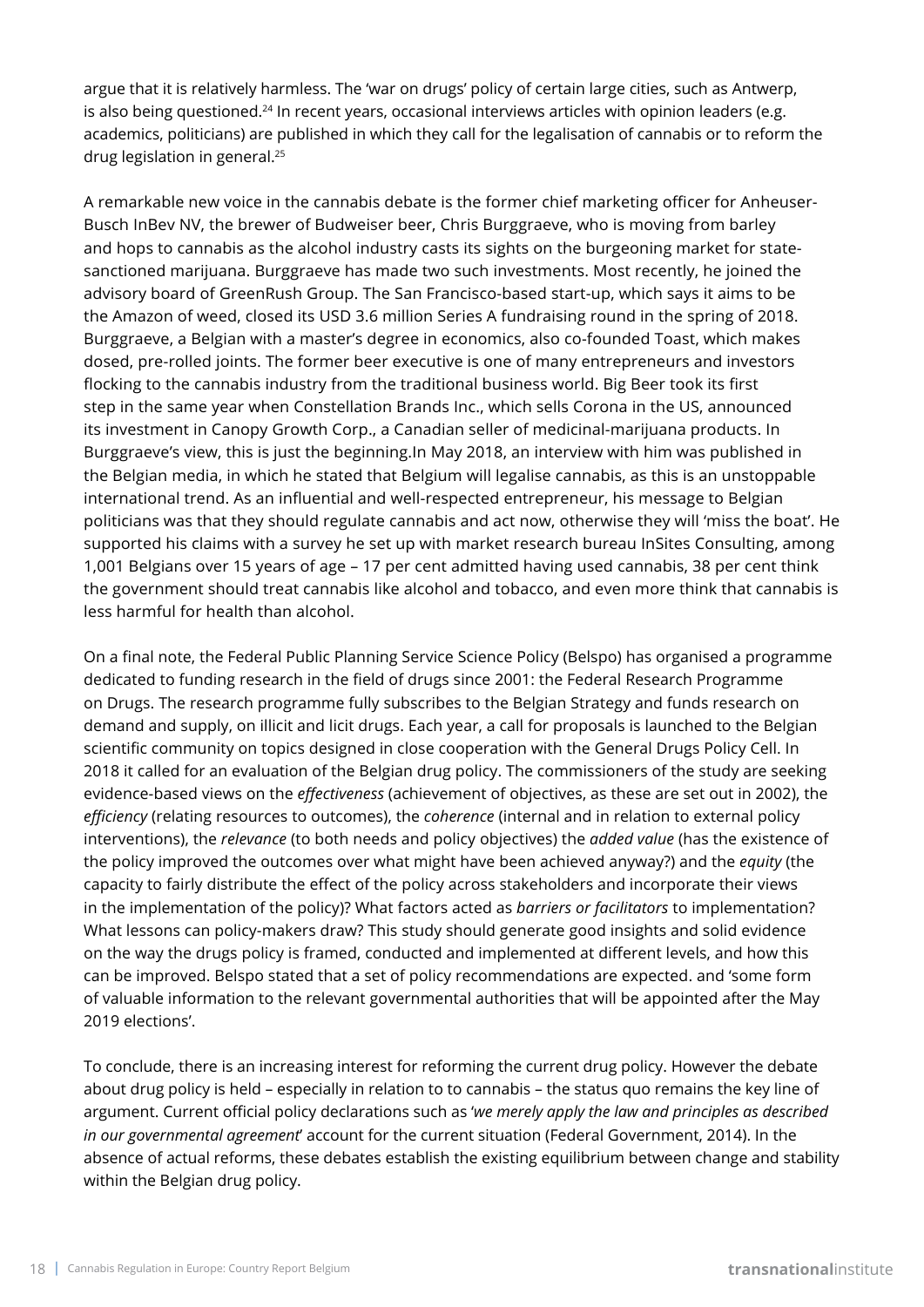argue that it is relatively harmless. The 'war on drugs' policy of certain large cities, such as Antwerp, is also being questioned.<sup>24</sup> In recent years, occasional interviews articles with opinion leaders (e.g. academics, politicians) are published in which they call for the legalisation of cannabis or to reform the drug legislation in general.25

A remarkable new voice in the cannabis debate is the former chief marketing officer for Anheuser-Busch InBev NV, the brewer of Budweiser beer, Chris Burggraeve, who is moving from barley and hops to cannabis as the alcohol industry casts its sights on the burgeoning market for statesanctioned marijuana. Burggraeve has made two such investments. Most recently, he joined the advisory board of GreenRush Group. The San Francisco-based start-up, which says it aims to be the Amazon of weed, closed its USD 3.6 million Series A fundraising round in the spring of 2018. Burggraeve, a Belgian with a master's degree in economics, also co-founded Toast, which makes dosed, pre-rolled joints. The former beer executive is one of many entrepreneurs and investors flocking to the cannabis industry from the traditional business world. Big Beer took its first step in the same year when Constellation Brands Inc., which sells Corona in the US, announced its investment in Canopy Growth Corp., a Canadian seller of medicinal-marijuana products. In Burggraeve's view, this is just the beginning.In May 2018, an interview with him was published in the Belgian media, in which he stated that Belgium will legalise cannabis, as this is an unstoppable international trend. As an influential and well-respected entrepreneur, his message to Belgian politicians was that they should regulate cannabis and act now, otherwise they will 'miss the boat'. He supported his claims with a survey he set up with market research bureau InSites Consulting, among 1,001 Belgians over 15 years of age – 17 per cent admitted having used cannabis, 38 per cent think the government should treat cannabis like alcohol and tobacco, and even more think that cannabis is less harmful for health than alcohol.

On a final note, the Federal Public Planning Service Science Policy (Belspo) has organised a programme dedicated to funding research in the field of drugs since 2001: the Federal Research Programme on Drugs. The research programme fully subscribes to the Belgian Strategy and funds research on demand and supply, on illicit and licit drugs. Each year, a call for proposals is launched to the Belgian scientific community on topics designed in close cooperation with the General Drugs Policy Cell. In 2018 it called for an evaluation of the Belgian drug policy. The commissioners of the study are seeking evidence-based views on the *effectiveness* (achievement of objectives, as these are set out in 2002), the *efficiency* (relating resources to outcomes), the *coherence* (internal and in relation to external policy interventions), the *relevance* (to both needs and policy objectives) the *added value* (has the existence of the policy improved the outcomes over what might have been achieved anyway?) and the *equity* (the capacity to fairly distribute the effect of the policy across stakeholders and incorporate their views in the implementation of the policy)? What factors acted as *barriers or facilitators* to implementation? What lessons can policy-makers draw? This study should generate good insights and solid evidence on the way the drugs policy is framed, conducted and implemented at different levels, and how this can be improved. Belspo stated that a set of policy recommendations are expected. and 'some form of valuable information to the relevant governmental authorities that will be appointed after the May 2019 elections'.

To conclude, there is an increasing interest for reforming the current drug policy. However the debate about drug policy is held – especially in relation to to cannabis – the status quo remains the key line of argument. Current official policy declarations such as '*we merely apply the law and principles as described in our governmental agreement*' account for the current situation (Federal Government, 2014). In the absence of actual reforms, these debates establish the existing equilibrium between change and stability within the Belgian drug policy.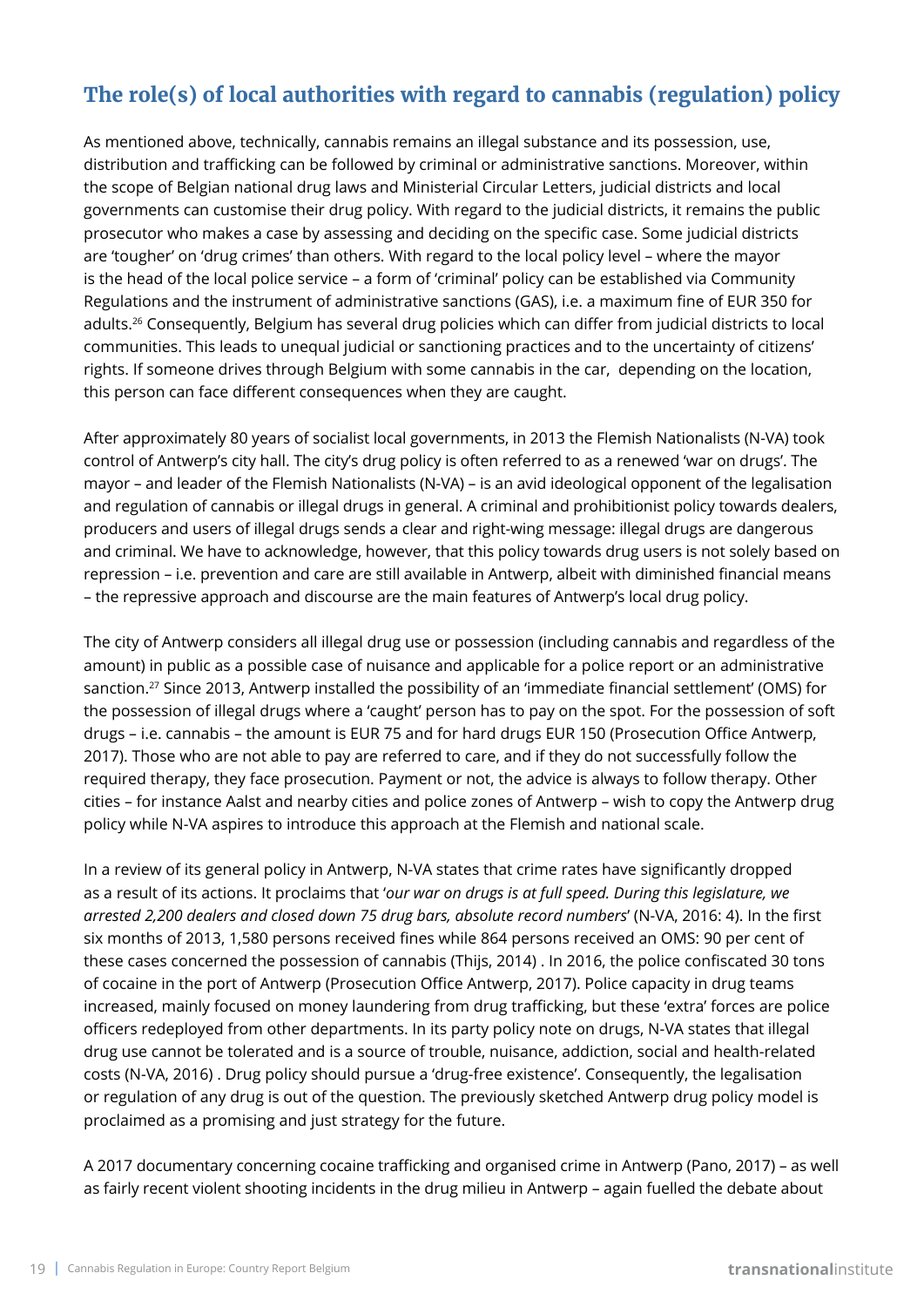# **The role(s) of local authorities with regard to cannabis (regulation) policy**

As mentioned above, technically, cannabis remains an illegal substance and its possession, use, distribution and trafficking can be followed by criminal or administrative sanctions. Moreover, within the scope of Belgian national drug laws and Ministerial Circular Letters, judicial districts and local governments can customise their drug policy. With regard to the judicial districts, it remains the public prosecutor who makes a case by assessing and deciding on the specific case. Some judicial districts are 'tougher' on 'drug crimes' than others. With regard to the local policy level – where the mayor is the head of the local police service – a form of 'criminal' policy can be established via Community Regulations and the instrument of administrative sanctions (GAS), i.e. a maximum fine of EUR 350 for adults.26 Consequently, Belgium has several drug policies which can differ from judicial districts to local communities. This leads to unequal judicial or sanctioning practices and to the uncertainty of citizens' rights. If someone drives through Belgium with some cannabis in the car, depending on the location, this person can face different consequences when they are caught.

After approximately 80 years of socialist local governments, in 2013 the Flemish Nationalists (N-VA) took control of Antwerp's city hall. The city's drug policy is often referred to as a renewed 'war on drugs'. The mayor – and leader of the Flemish Nationalists (N-VA) – is an avid ideological opponent of the legalisation and regulation of cannabis or illegal drugs in general. A criminal and prohibitionist policy towards dealers, producers and users of illegal drugs sends a clear and right-wing message: illegal drugs are dangerous and criminal. We have to acknowledge, however, that this policy towards drug users is not solely based on repression – i.e. prevention and care are still available in Antwerp, albeit with diminished financial means – the repressive approach and discourse are the main features of Antwerp's local drug policy.

The city of Antwerp considers all illegal drug use or possession (including cannabis and regardless of the amount) in public as a possible case of nuisance and applicable for a police report or an administrative sanction.27 Since 2013, Antwerp installed the possibility of an 'immediate financial settlement' (OMS) for the possession of illegal drugs where a 'caught' person has to pay on the spot. For the possession of soft drugs – i.e. cannabis – the amount is EUR 75 and for hard drugs EUR 150 (Prosecution Office Antwerp, 2017). Those who are not able to pay are referred to care, and if they do not successfully follow the required therapy, they face prosecution. Payment or not, the advice is always to follow therapy. Other cities – for instance Aalst and nearby cities and police zones of Antwerp – wish to copy the Antwerp drug policy while N-VA aspires to introduce this approach at the Flemish and national scale.

In a review of its general policy in Antwerp, N-VA states that crime rates have significantly dropped as a result of its actions. It proclaims that '*our war on drugs is at full speed. During this legislature, we arrested 2,200 dealers and closed down 75 drug bars, absolute record numbers*' (N-VA, 2016: 4). In the first six months of 2013, 1,580 persons received fines while 864 persons received an OMS: 90 per cent of these cases concerned the possession of cannabis (Thijs, 2014) . In 2016, the police confiscated 30 tons of cocaine in the port of Antwerp (Prosecution Office Antwerp, 2017). Police capacity in drug teams increased, mainly focused on money laundering from drug trafficking, but these 'extra' forces are police officers redeployed from other departments. In its party policy note on drugs, N-VA states that illegal drug use cannot be tolerated and is a source of trouble, nuisance, addiction, social and health-related costs (N-VA, 2016) . Drug policy should pursue a 'drug-free existence'. Consequently, the legalisation or regulation of any drug is out of the question. The previously sketched Antwerp drug policy model is proclaimed as a promising and just strategy for the future.

A 2017 documentary concerning cocaine trafficking and organised crime in Antwerp (Pano, 2017) – as well as fairly recent violent shooting incidents in the drug milieu in Antwerp – again fuelled the debate about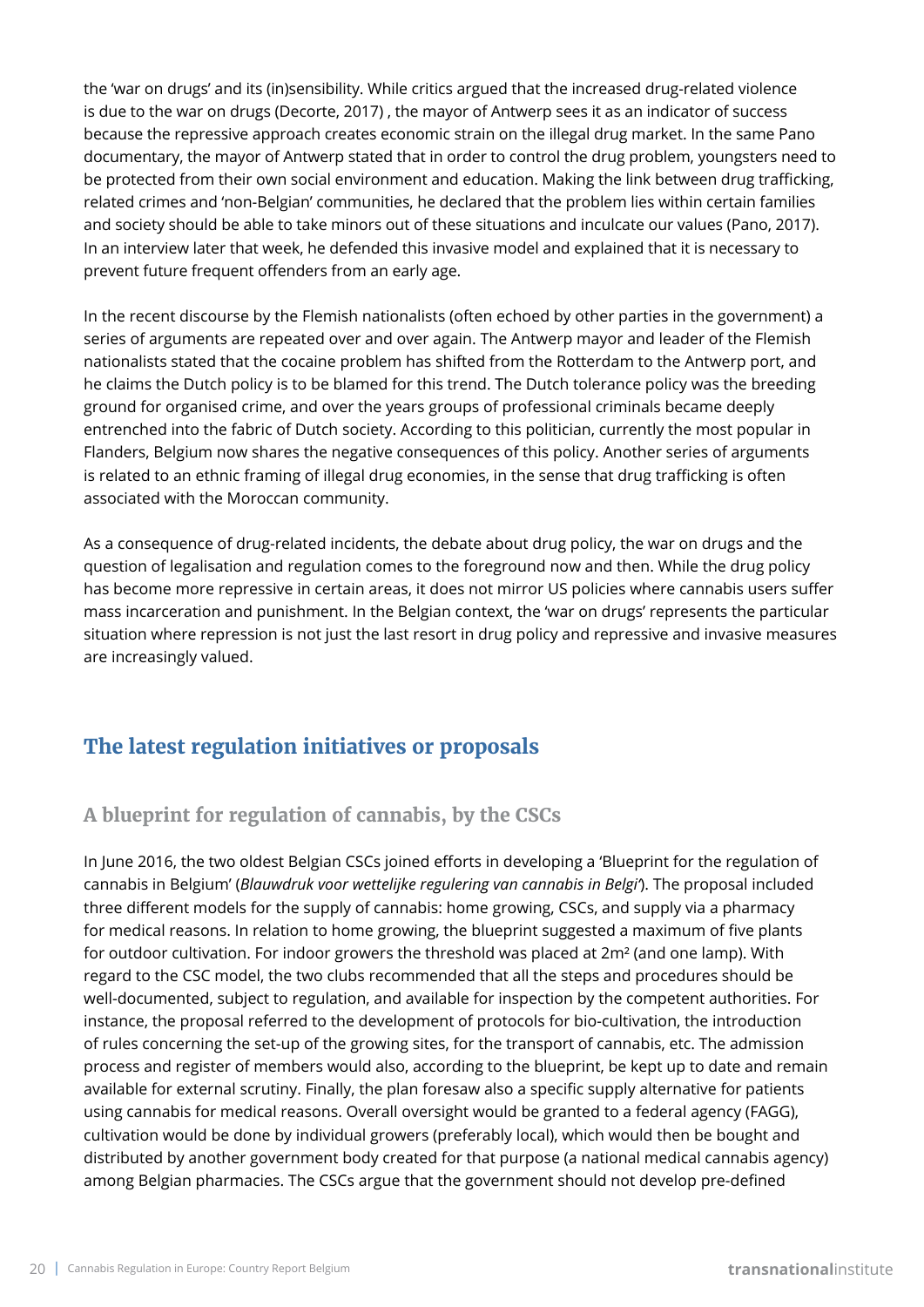the 'war on drugs' and its (in)sensibility. While critics argued that the increased drug-related violence is due to the war on drugs (Decorte, 2017) , the mayor of Antwerp sees it as an indicator of success because the repressive approach creates economic strain on the illegal drug market. In the same Pano documentary, the mayor of Antwerp stated that in order to control the drug problem, youngsters need to be protected from their own social environment and education. Making the link between drug trafficking, related crimes and 'non-Belgian' communities, he declared that the problem lies within certain families and society should be able to take minors out of these situations and inculcate our values (Pano, 2017). In an interview later that week, he defended this invasive model and explained that it is necessary to prevent future frequent offenders from an early age.

In the recent discourse by the Flemish nationalists (often echoed by other parties in the government) a series of arguments are repeated over and over again. The Antwerp mayor and leader of the Flemish nationalists stated that the cocaine problem has shifted from the Rotterdam to the Antwerp port, and he claims the Dutch policy is to be blamed for this trend. The Dutch tolerance policy was the breeding ground for organised crime, and over the years groups of professional criminals became deeply entrenched into the fabric of Dutch society. According to this politician, currently the most popular in Flanders, Belgium now shares the negative consequences of this policy. Another series of arguments is related to an ethnic framing of illegal drug economies, in the sense that drug trafficking is often associated with the Moroccan community.

As a consequence of drug-related incidents, the debate about drug policy, the war on drugs and the question of legalisation and regulation comes to the foreground now and then. While the drug policy has become more repressive in certain areas, it does not mirror US policies where cannabis users suffer mass incarceration and punishment. In the Belgian context, the 'war on drugs' represents the particular situation where repression is not just the last resort in drug policy and repressive and invasive measures are increasingly valued.

# **The latest regulation initiatives or proposals**

# **A blueprint for regulation of cannabis, by the CSCs**

In June 2016, the two oldest Belgian CSCs joined efforts in developing a 'Blueprint for the regulation of cannabis in Belgium' (*Blauwdruk voor wettelijke regulering van cannabis in Belgi'*). The proposal included three different models for the supply of cannabis: home growing, CSCs, and supply via a pharmacy for medical reasons. In relation to home growing, the blueprint suggested a maximum of five plants for outdoor cultivation. For indoor growers the threshold was placed at 2m² (and one lamp). With regard to the CSC model, the two clubs recommended that all the steps and procedures should be well-documented, subject to regulation, and available for inspection by the competent authorities. For instance, the proposal referred to the development of protocols for bio-cultivation, the introduction of rules concerning the set-up of the growing sites, for the transport of cannabis, etc. The admission process and register of members would also, according to the blueprint, be kept up to date and remain available for external scrutiny. Finally, the plan foresaw also a specific supply alternative for patients using cannabis for medical reasons. Overall oversight would be granted to a federal agency (FAGG), cultivation would be done by individual growers (preferably local), which would then be bought and distributed by another government body created for that purpose (a national medical cannabis agency) among Belgian pharmacies. The CSCs argue that the government should not develop pre-defined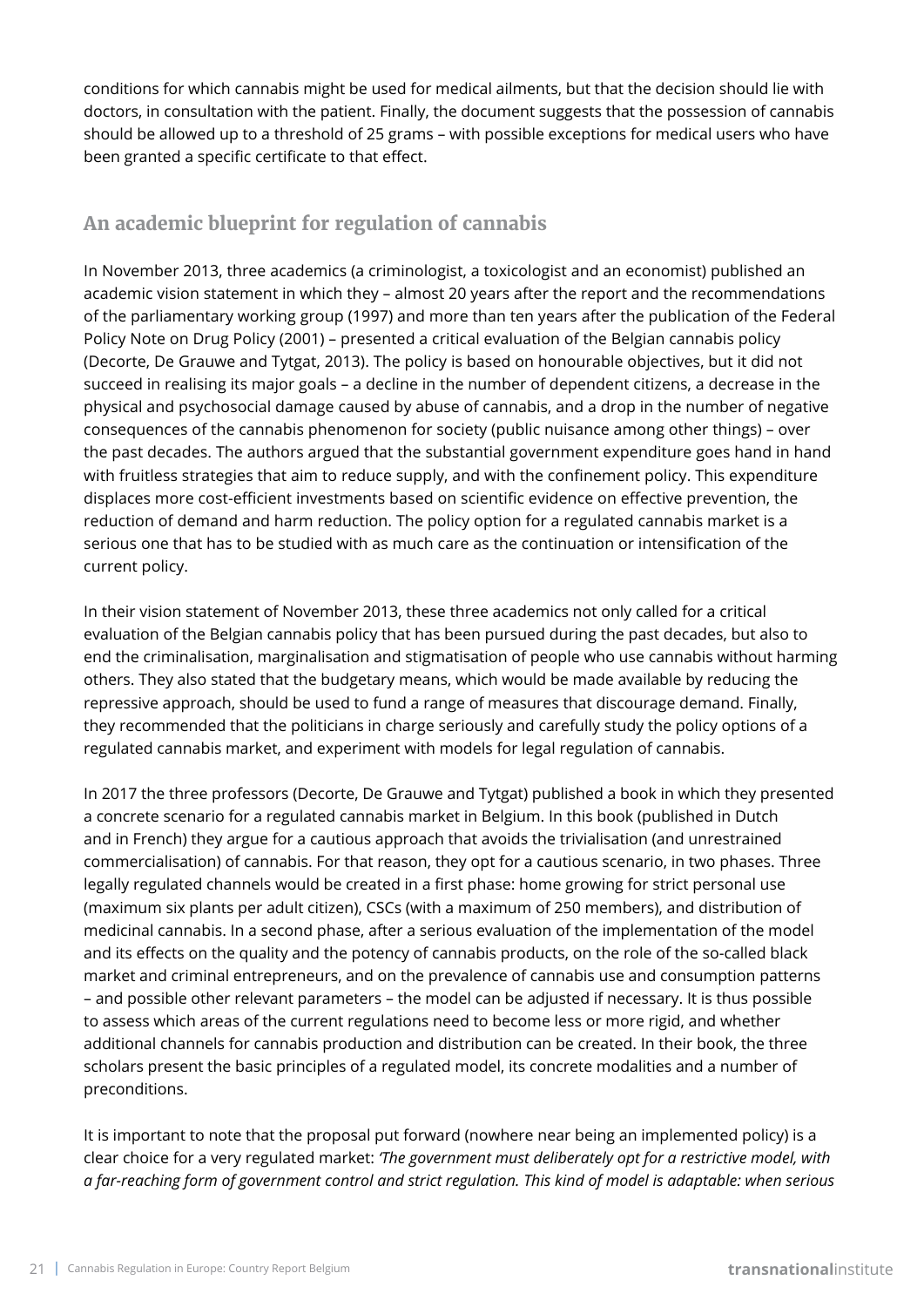conditions for which cannabis might be used for medical ailments, but that the decision should lie with doctors, in consultation with the patient. Finally, the document suggests that the possession of cannabis should be allowed up to a threshold of 25 grams – with possible exceptions for medical users who have been granted a specific certificate to that effect.

# **An academic blueprint for regulation of cannabis**

In November 2013, three academics (a criminologist, a toxicologist and an economist) published an academic vision statement in which they – almost 20 years after the report and the recommendations of the parliamentary working group (1997) and more than ten years after the publication of the Federal Policy Note on Drug Policy (2001) – presented a critical evaluation of the Belgian cannabis policy (Decorte, De Grauwe and Tytgat, 2013). The policy is based on honourable objectives, but it did not succeed in realising its major goals – a decline in the number of dependent citizens, a decrease in the physical and psychosocial damage caused by abuse of cannabis, and a drop in the number of negative consequences of the cannabis phenomenon for society (public nuisance among other things) – over the past decades. The authors argued that the substantial government expenditure goes hand in hand with fruitless strategies that aim to reduce supply, and with the confinement policy. This expenditure displaces more cost-efficient investments based on scientific evidence on effective prevention, the reduction of demand and harm reduction. The policy option for a regulated cannabis market is a serious one that has to be studied with as much care as the continuation or intensification of the current policy.

In their vision statement of November 2013, these three academics not only called for a critical evaluation of the Belgian cannabis policy that has been pursued during the past decades, but also to end the criminalisation, marginalisation and stigmatisation of people who use cannabis without harming others. They also stated that the budgetary means, which would be made available by reducing the repressive approach, should be used to fund a range of measures that discourage demand. Finally, they recommended that the politicians in charge seriously and carefully study the policy options of a regulated cannabis market, and experiment with models for legal regulation of cannabis.

In 2017 the three professors (Decorte, De Grauwe and Tytgat) published a book in which they presented a concrete scenario for a regulated cannabis market in Belgium. In this book (published in Dutch and in French) they argue for a cautious approach that avoids the trivialisation (and unrestrained commercialisation) of cannabis. For that reason, they opt for a cautious scenario, in two phases. Three legally regulated channels would be created in a first phase: home growing for strict personal use (maximum six plants per adult citizen), CSCs (with a maximum of 250 members), and distribution of medicinal cannabis. In a second phase, after a serious evaluation of the implementation of the model and its effects on the quality and the potency of cannabis products, on the role of the so-called black market and criminal entrepreneurs, and on the prevalence of cannabis use and consumption patterns – and possible other relevant parameters – the model can be adjusted if necessary. It is thus possible to assess which areas of the current regulations need to become less or more rigid, and whether additional channels for cannabis production and distribution can be created. In their book, the three scholars present the basic principles of a regulated model, its concrete modalities and a number of preconditions.

It is important to note that the proposal put forward (nowhere near being an implemented policy) is a clear choice for a very regulated market: *'The government must deliberately opt for a restrictive model, with a far-reaching form of government control and strict regulation. This kind of model is adaptable: when serious*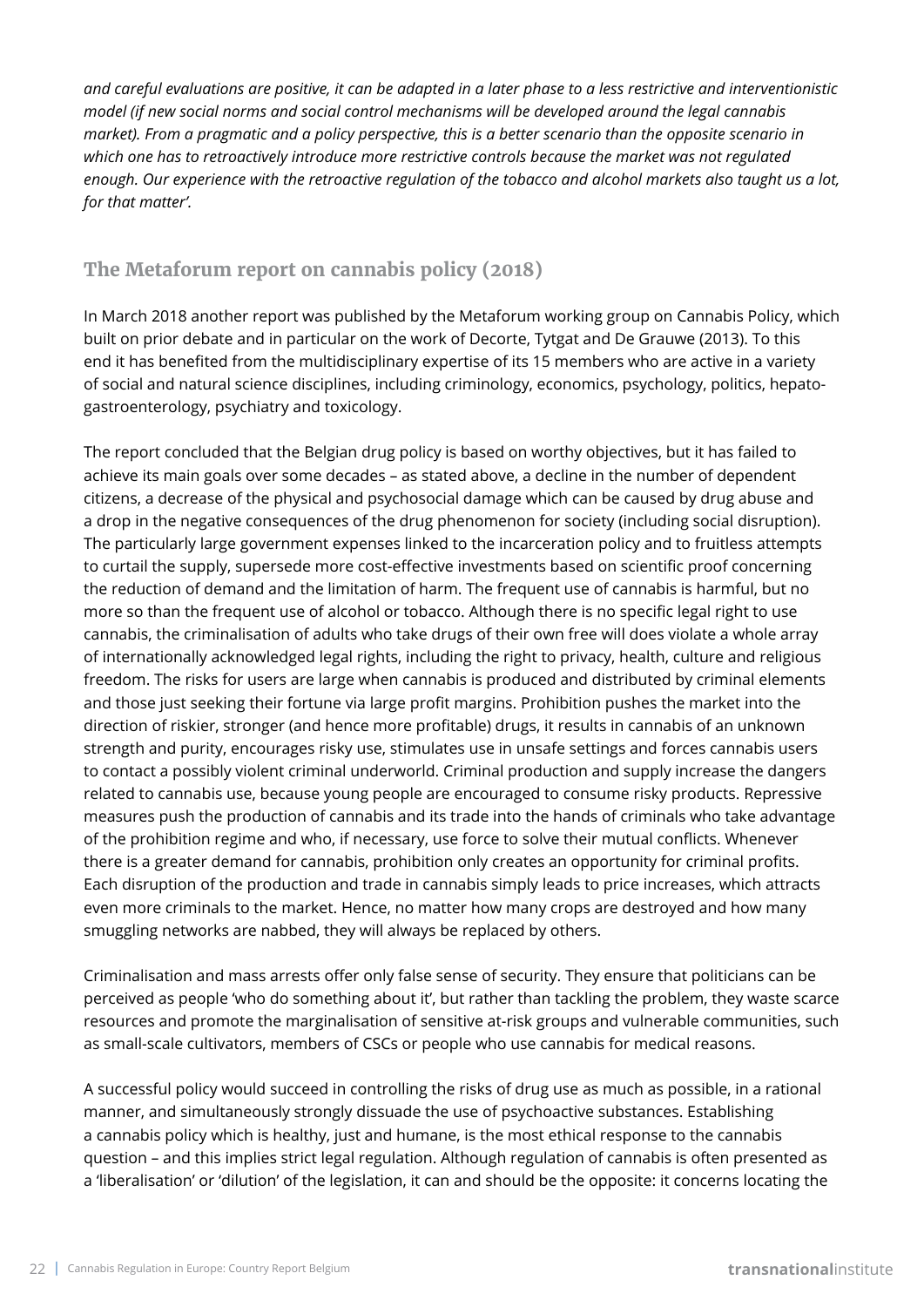*and careful evaluations are positive, it can be adapted in a later phase to a less restrictive and interventionistic model (if new social norms and social control mechanisms will be developed around the legal cannabis market). From a pragmatic and a policy perspective, this is a better scenario than the opposite scenario in which one has to retroactively introduce more restrictive controls because the market was not regulated enough. Our experience with the retroactive regulation of the tobacco and alcohol markets also taught us a lot, for that matter'.*

### **The Metaforum report on cannabis policy (2018)**

In March 2018 another report was published by the Metaforum working group on Cannabis Policy, which built on prior debate and in particular on the work of Decorte, Tytgat and De Grauwe (2013). To this end it has benefited from the multidisciplinary expertise of its 15 members who are active in a variety of social and natural science disciplines, including criminology, economics, psychology, politics, hepatogastroenterology, psychiatry and toxicology.

The report concluded that the Belgian drug policy is based on worthy objectives, but it has failed to achieve its main goals over some decades – as stated above, a decline in the number of dependent citizens, a decrease of the physical and psychosocial damage which can be caused by drug abuse and a drop in the negative consequences of the drug phenomenon for society (including social disruption). The particularly large government expenses linked to the incarceration policy and to fruitless attempts to curtail the supply, supersede more cost-effective investments based on scientific proof concerning the reduction of demand and the limitation of harm. The frequent use of cannabis is harmful, but no more so than the frequent use of alcohol or tobacco. Although there is no specific legal right to use cannabis, the criminalisation of adults who take drugs of their own free will does violate a whole array of internationally acknowledged legal rights, including the right to privacy, health, culture and religious freedom. The risks for users are large when cannabis is produced and distributed by criminal elements and those just seeking their fortune via large profit margins. Prohibition pushes the market into the direction of riskier, stronger (and hence more profitable) drugs, it results in cannabis of an unknown strength and purity, encourages risky use, stimulates use in unsafe settings and forces cannabis users to contact a possibly violent criminal underworld. Criminal production and supply increase the dangers related to cannabis use, because young people are encouraged to consume risky products. Repressive measures push the production of cannabis and its trade into the hands of criminals who take advantage of the prohibition regime and who, if necessary, use force to solve their mutual conflicts. Whenever there is a greater demand for cannabis, prohibition only creates an opportunity for criminal profits. Each disruption of the production and trade in cannabis simply leads to price increases, which attracts even more criminals to the market. Hence, no matter how many crops are destroyed and how many smuggling networks are nabbed, they will always be replaced by others.

Criminalisation and mass arrests offer only false sense of security. They ensure that politicians can be perceived as people 'who do something about it', but rather than tackling the problem, they waste scarce resources and promote the marginalisation of sensitive at-risk groups and vulnerable communities, such as small-scale cultivators, members of CSCs or people who use cannabis for medical reasons.

A successful policy would succeed in controlling the risks of drug use as much as possible, in a rational manner, and simultaneously strongly dissuade the use of psychoactive substances. Establishing a cannabis policy which is healthy, just and humane, is the most ethical response to the cannabis question – and this implies strict legal regulation. Although regulation of cannabis is often presented as a 'liberalisation' or 'dilution' of the legislation, it can and should be the opposite: it concerns locating the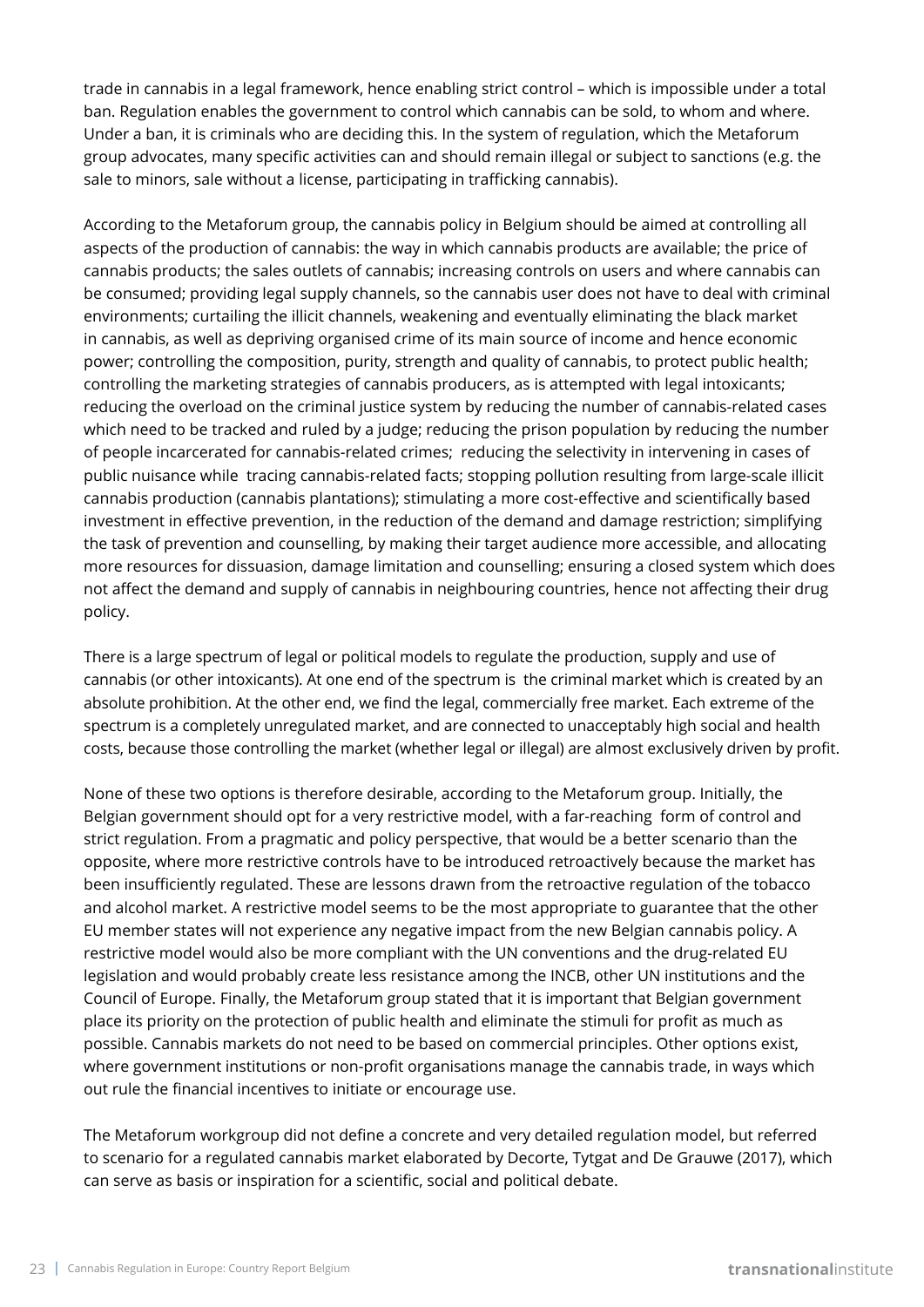trade in cannabis in a legal framework, hence enabling strict control – which is impossible under a total ban. Regulation enables the government to control which cannabis can be sold, to whom and where. Under a ban, it is criminals who are deciding this. In the system of regulation, which the Metaforum group advocates, many specific activities can and should remain illegal or subject to sanctions (e.g. the sale to minors, sale without a license, participating in trafficking cannabis).

According to the Metaforum group, the cannabis policy in Belgium should be aimed at controlling all aspects of the production of cannabis: the way in which cannabis products are available; the price of cannabis products; the sales outlets of cannabis; increasing controls on users and where cannabis can be consumed; providing legal supply channels, so the cannabis user does not have to deal with criminal environments; curtailing the illicit channels, weakening and eventually eliminating the black market in cannabis, as well as depriving organised crime of its main source of income and hence economic power; controlling the composition, purity, strength and quality of cannabis, to protect public health; controlling the marketing strategies of cannabis producers, as is attempted with legal intoxicants; reducing the overload on the criminal justice system by reducing the number of cannabis-related cases which need to be tracked and ruled by a judge; reducing the prison population by reducing the number of people incarcerated for cannabis-related crimes; reducing the selectivity in intervening in cases of public nuisance while tracing cannabis-related facts; stopping pollution resulting from large-scale illicit cannabis production (cannabis plantations); stimulating a more cost-effective and scientifically based investment in effective prevention, in the reduction of the demand and damage restriction; simplifying the task of prevention and counselling, by making their target audience more accessible, and allocating more resources for dissuasion, damage limitation and counselling; ensuring a closed system which does not affect the demand and supply of cannabis in neighbouring countries, hence not affecting their drug policy.

There is a large spectrum of legal or political models to regulate the production, supply and use of cannabis (or other intoxicants). At one end of the spectrum is the criminal market which is created by an absolute prohibition. At the other end, we find the legal, commercially free market. Each extreme of the spectrum is a completely unregulated market, and are connected to unacceptably high social and health costs, because those controlling the market (whether legal or illegal) are almost exclusively driven by profit.

None of these two options is therefore desirable, according to the Metaforum group. Initially, the Belgian government should opt for a very restrictive model, with a far-reaching form of control and strict regulation. From a pragmatic and policy perspective, that would be a better scenario than the opposite, where more restrictive controls have to be introduced retroactively because the market has been insufficiently regulated. These are lessons drawn from the retroactive regulation of the tobacco and alcohol market. A restrictive model seems to be the most appropriate to guarantee that the other EU member states will not experience any negative impact from the new Belgian cannabis policy. A restrictive model would also be more compliant with the UN conventions and the drug-related EU legislation and would probably create less resistance among the INCB, other UN institutions and the Council of Europe. Finally, the Metaforum group stated that it is important that Belgian government place its priority on the protection of public health and eliminate the stimuli for profit as much as possible. Cannabis markets do not need to be based on commercial principles. Other options exist, where government institutions or non-profit organisations manage the cannabis trade, in ways which out rule the financial incentives to initiate or encourage use.

The Metaforum workgroup did not define a concrete and very detailed regulation model, but referred to scenario for a regulated cannabis market elaborated by Decorte, Tytgat and De Grauwe (2017), which can serve as basis or inspiration for a scientific, social and political debate.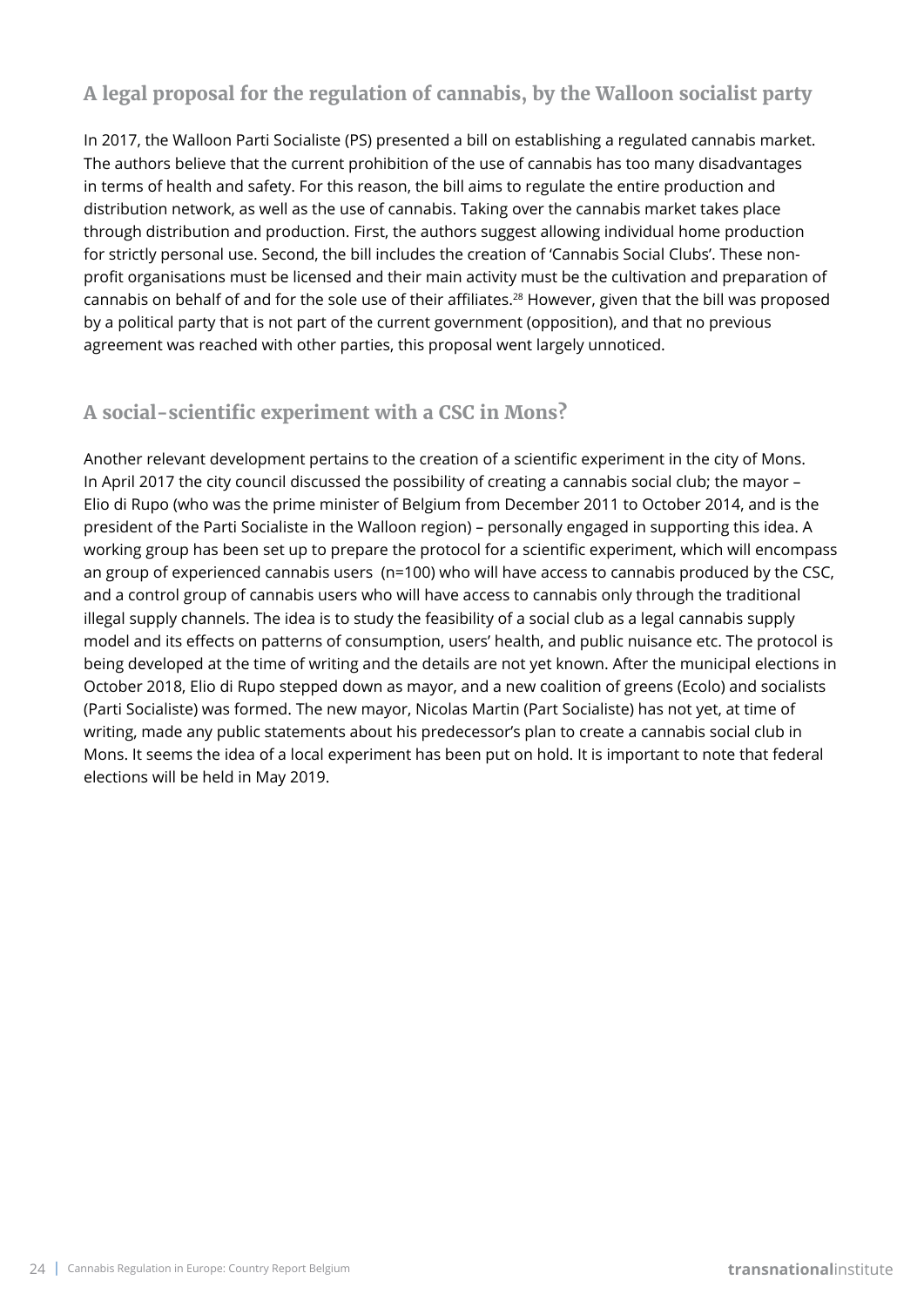# **A legal proposal for the regulation of cannabis, by the Walloon socialist party**

In 2017, the Walloon Parti Socialiste (PS) presented a bill on establishing a regulated cannabis market. The authors believe that the current prohibition of the use of cannabis has too many disadvantages in terms of health and safety. For this reason, the bill aims to regulate the entire production and distribution network, as well as the use of cannabis. Taking over the cannabis market takes place through distribution and production. First, the authors suggest allowing individual home production for strictly personal use. Second, the bill includes the creation of 'Cannabis Social Clubs'. These nonprofit organisations must be licensed and their main activity must be the cultivation and preparation of cannabis on behalf of and for the sole use of their affiliates.<sup>28</sup> However, given that the bill was proposed by a political party that is not part of the current government (opposition), and that no previous agreement was reached with other parties, this proposal went largely unnoticed.

# **A social-scientific experiment with a CSC in Mons?**

Another relevant development pertains to the creation of a scientific experiment in the city of Mons. In April 2017 the city council discussed the possibility of creating a cannabis social club; the mayor – Elio di Rupo (who was the prime minister of Belgium from December 2011 to October 2014, and is the president of the Parti Socialiste in the Walloon region) – personally engaged in supporting this idea. A working group has been set up to prepare the protocol for a scientific experiment, which will encompass an group of experienced cannabis users (n=100) who will have access to cannabis produced by the CSC, and a control group of cannabis users who will have access to cannabis only through the traditional illegal supply channels. The idea is to study the feasibility of a social club as a legal cannabis supply model and its effects on patterns of consumption, users' health, and public nuisance etc. The protocol is being developed at the time of writing and the details are not yet known. After the municipal elections in October 2018, Elio di Rupo stepped down as mayor, and a new coalition of greens (Ecolo) and socialists (Parti Socialiste) was formed. The new mayor, Nicolas Martin (Part Socialiste) has not yet, at time of writing, made any public statements about his predecessor's plan to create a cannabis social club in Mons. It seems the idea of a local experiment has been put on hold. It is important to note that federal elections will be held in May 2019.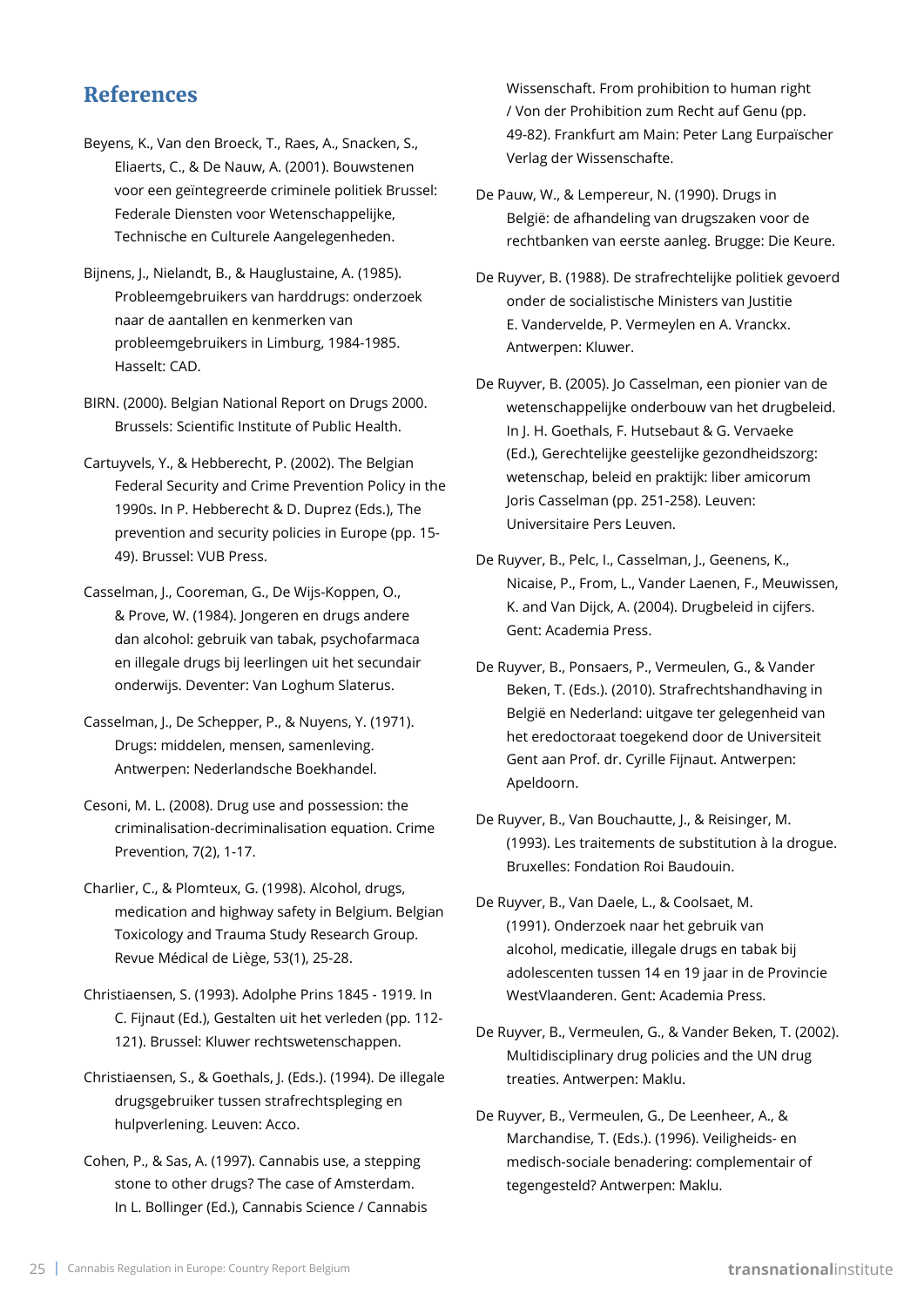# **References**

- Beyens, K., Van den Broeck, T., Raes, A., Snacken, S., Eliaerts, C., & De Nauw, A. (2001). Bouwstenen voor een geïntegreerde criminele politiek Brussel: Federale Diensten voor Wetenschappelijke, Technische en Culturele Aangelegenheden.
- Bijnens, J., Nielandt, B., & Hauglustaine, A. (1985). Probleemgebruikers van harddrugs: onderzoek naar de aantallen en kenmerken van probleemgebruikers in Limburg, 1984-1985. Hasselt: CAD.
- BIRN. (2000). Belgian National Report on Drugs 2000. Brussels: Scientific Institute of Public Health.
- Cartuyvels, Y., & Hebberecht, P. (2002). The Belgian Federal Security and Crime Prevention Policy in the 1990s. In P. Hebberecht & D. Duprez (Eds.), The prevention and security policies in Europe (pp. 15- 49). Brussel: VUB Press.
- Casselman, J., Cooreman, G., De Wijs-Koppen, O., & Prove, W. (1984). Jongeren en drugs andere dan alcohol: gebruik van tabak, psychofarmaca en illegale drugs bij leerlingen uit het secundair onderwijs. Deventer: Van Loghum Slaterus.
- Casselman, J., De Schepper, P., & Nuyens, Y. (1971). Drugs: middelen, mensen, samenleving. Antwerpen: Nederlandsche Boekhandel.
- Cesoni, M. L. (2008). Drug use and possession: the criminalisation-decriminalisation equation. Crime Prevention, 7(2), 1-17.
- Charlier, C., & Plomteux, G. (1998). Alcohol, drugs, medication and highway safety in Belgium. Belgian Toxicology and Trauma Study Research Group. Revue Médical de Liège, 53(1), 25-28.
- Christiaensen, S. (1993). Adolphe Prins 1845 1919. In C. Fijnaut (Ed.), Gestalten uit het verleden (pp. 112- 121). Brussel: Kluwer rechtswetenschappen.
- Christiaensen, S., & Goethals, J. (Eds.). (1994). De illegale drugsgebruiker tussen strafrechtspleging en hulpverlening. Leuven: Acco.
- Cohen, P., & Sas, A. (1997). Cannabis use, a stepping stone to other drugs? The case of Amsterdam. In L. Bollinger (Ed.), Cannabis Science / Cannabis

Wissenschaft. From prohibition to human right / Von der Prohibition zum Recht auf Genu (pp. 49-82). Frankfurt am Main: Peter Lang Eurpaïscher Verlag der Wissenschafte.

- De Pauw, W., & Lempereur, N. (1990). Drugs in België: de afhandeling van drugszaken voor de rechtbanken van eerste aanleg. Brugge: Die Keure.
- De Ruyver, B. (1988). De strafrechtelijke politiek gevoerd onder de socialistische Ministers van Justitie E. Vandervelde, P. Vermeylen en A. Vranckx. Antwerpen: Kluwer.
- De Ruyver, B. (2005). Jo Casselman, een pionier van de wetenschappelijke onderbouw van het drugbeleid. In J. H. Goethals, F. Hutsebaut & G. Vervaeke (Ed.), Gerechtelijke geestelijke gezondheidszorg: wetenschap, beleid en praktijk: liber amicorum Joris Casselman (pp. 251-258). Leuven: Universitaire Pers Leuven.
- De Ruyver, B., Pelc, I., Casselman, J., Geenens, K., Nicaise, P., From, L., Vander Laenen, F., Meuwissen, K. and Van Dijck, A. (2004). Drugbeleid in cijfers. Gent: Academia Press.
- De Ruyver, B., Ponsaers, P., Vermeulen, G., & Vander Beken, T. (Eds.). (2010). Strafrechtshandhaving in België en Nederland: uitgave ter gelegenheid van het eredoctoraat toegekend door de Universiteit Gent aan Prof. dr. Cyrille Fijnaut. Antwerpen: Apeldoorn.
- De Ruyver, B., Van Bouchautte, J., & Reisinger, M. (1993). Les traitements de substitution à la drogue. Bruxelles: Fondation Roi Baudouin.
- De Ruyver, B., Van Daele, L., & Coolsaet, M. (1991). Onderzoek naar het gebruik van alcohol, medicatie, illegale drugs en tabak bij adolescenten tussen 14 en 19 jaar in de Provincie WestVlaanderen. Gent: Academia Press.
- De Ruyver, B., Vermeulen, G., & Vander Beken, T. (2002). Multidisciplinary drug policies and the UN drug treaties. Antwerpen: Maklu.
- De Ruyver, B., Vermeulen, G., De Leenheer, A., & Marchandise, T. (Eds.). (1996). Veiligheids- en medisch-sociale benadering: complementair of tegengesteld? Antwerpen: Maklu.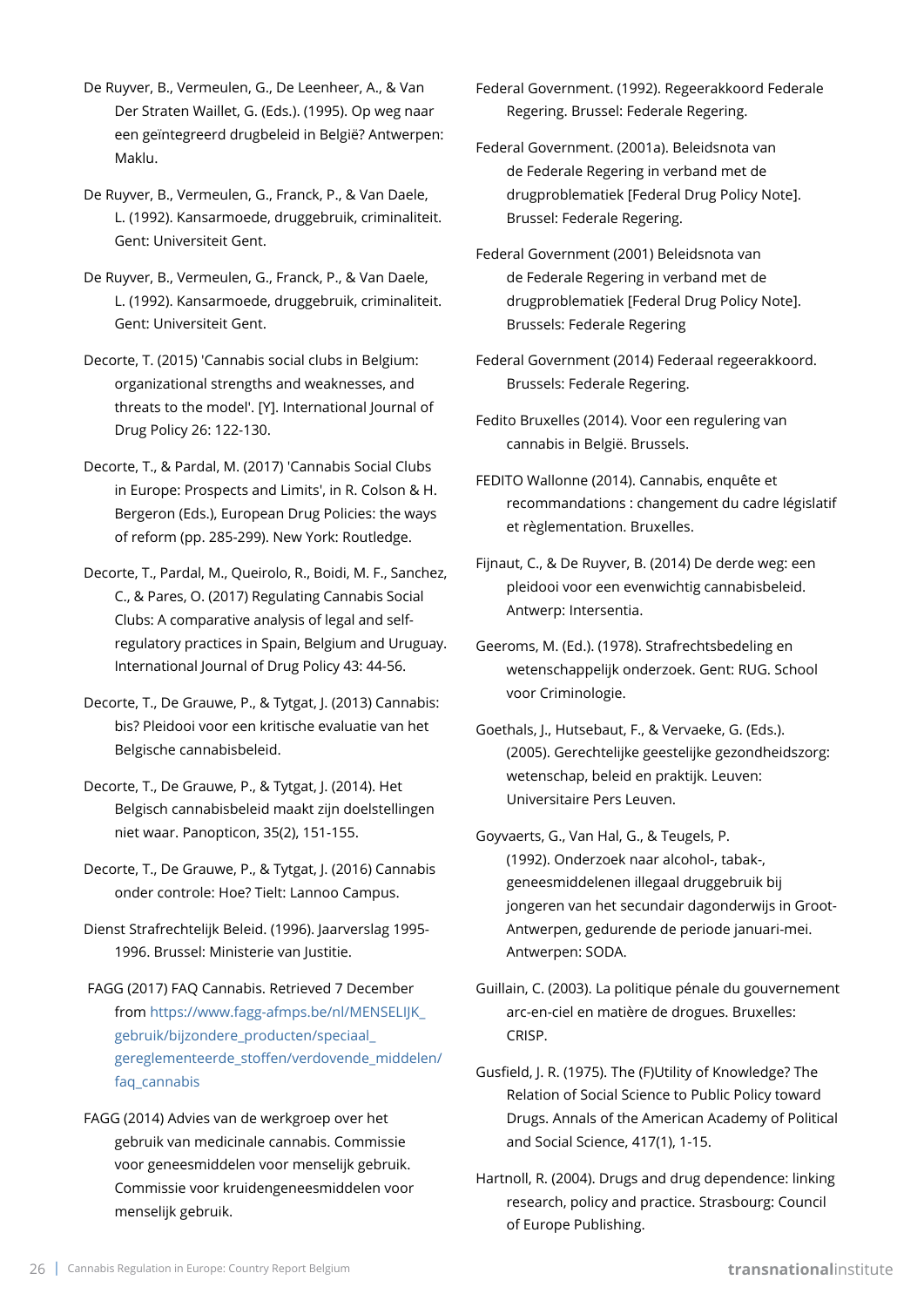- De Ruyver, B., Vermeulen, G., De Leenheer, A., & Van Der Straten Waillet, G. (Eds.). (1995). Op weg naar een geïntegreerd drugbeleid in België? Antwerpen: Maklu.
- De Ruyver, B., Vermeulen, G., Franck, P., & Van Daele, L. (1992). Kansarmoede, druggebruik, criminaliteit. Gent: Universiteit Gent.
- De Ruyver, B., Vermeulen, G., Franck, P., & Van Daele, L. (1992). Kansarmoede, druggebruik, criminaliteit. Gent: Universiteit Gent.
- Decorte, T. (2015) 'Cannabis social clubs in Belgium: organizational strengths and weaknesses, and threats to the model'. [Y]. International Journal of Drug Policy 26: 122-130.
- Decorte, T., & Pardal, M. (2017) 'Cannabis Social Clubs in Europe: Prospects and Limits', in R. Colson & H. Bergeron (Eds.), European Drug Policies: the ways of reform (pp. 285-299). New York: Routledge.
- Decorte, T., Pardal, M., Queirolo, R., Boidi, M. F., Sanchez, C., & Pares, O. (2017) Regulating Cannabis Social Clubs: A comparative analysis of legal and selfregulatory practices in Spain, Belgium and Uruguay. International Journal of Drug Policy 43: 44-56.
- Decorte, T., De Grauwe, P., & Tytgat, J. (2013) Cannabis: bis? Pleidooi voor een kritische evaluatie van het Belgische cannabisbeleid.
- Decorte, T., De Grauwe, P., & Tytgat, J. (2014). Het Belgisch cannabisbeleid maakt zijn doelstellingen niet waar. Panopticon, 35(2), 151-155.
- Decorte, T., De Grauwe, P., & Tytgat, J. (2016) Cannabis onder controle: Hoe? Tielt: Lannoo Campus.
- Dienst Strafrechtelijk Beleid. (1996). Jaarverslag 1995- 1996. Brussel: Ministerie van Justitie.
- FAGG (2017) FAQ Cannabis. Retrieved 7 December from [https://www.fagg-afmps.be/nl/MENSELIJK\\_](https://www.fagg-afmps.be/nl/MENSELIJK_gebruik/bijzondere_producten/speciaal_gereglementeerde_stoffen/verdovende_middelen/faq_cannabis) [gebruik/bijzondere\\_producten/speciaal\\_](https://www.fagg-afmps.be/nl/MENSELIJK_gebruik/bijzondere_producten/speciaal_gereglementeerde_stoffen/verdovende_middelen/faq_cannabis) [gereglementeerde\\_stoffen/verdovende\\_middelen/](https://www.fagg-afmps.be/nl/MENSELIJK_gebruik/bijzondere_producten/speciaal_gereglementeerde_stoffen/verdovende_middelen/faq_cannabis) [faq\\_cannabis](https://www.fagg-afmps.be/nl/MENSELIJK_gebruik/bijzondere_producten/speciaal_gereglementeerde_stoffen/verdovende_middelen/faq_cannabis)
- FAGG (2014) Advies van de werkgroep over het gebruik van medicinale cannabis. Commissie voor geneesmiddelen voor menselijk gebruik. Commissie voor kruidengeneesmiddelen voor menselijk gebruik.
- Federal Government. (1992). Regeerakkoord Federale Regering. Brussel: Federale Regering.
- Federal Government. (2001a). Beleidsnota van de Federale Regering in verband met de drugproblematiek [Federal Drug Policy Note]. Brussel: Federale Regering.
- Federal Government (2001) Beleidsnota van de Federale Regering in verband met de drugproblematiek [Federal Drug Policy Note]. Brussels: Federale Regering
- Federal Government (2014) Federaal regeerakkoord. Brussels: Federale Regering.
- Fedito Bruxelles (2014). Voor een regulering van cannabis in België. Brussels.
- FEDITO Wallonne (2014). Cannabis, enquête et recommandations : changement du cadre législatif et règlementation. Bruxelles.
- Fijnaut, C., & De Ruyver, B. (2014) De derde weg: een pleidooi voor een evenwichtig cannabisbeleid. Antwerp: Intersentia.
- Geeroms, M. (Ed.). (1978). Strafrechtsbedeling en wetenschappelijk onderzoek. Gent: RUG. School voor Criminologie.
- Goethals, J., Hutsebaut, F., & Vervaeke, G. (Eds.). (2005). Gerechtelijke geestelijke gezondheidszorg: wetenschap, beleid en praktijk. Leuven: Universitaire Pers Leuven.
- Goyvaerts, G., Van Hal, G., & Teugels, P. (1992). Onderzoek naar alcohol-, tabak-, geneesmiddelenen illegaal druggebruik bij jongeren van het secundair dagonderwijs in Groot-Antwerpen, gedurende de periode januari-mei. Antwerpen: SODA.
- Guillain, C. (2003). La politique pénale du gouvernement arc-en-ciel en matière de drogues. Bruxelles: CRISP.
- Gusfield, J. R. (1975). The (F)Utility of Knowledge? The Relation of Social Science to Public Policy toward Drugs. Annals of the American Academy of Political and Social Science, 417(1), 1-15.
- Hartnoll, R. (2004). Drugs and drug dependence: linking research, policy and practice. Strasbourg: Council of Europe Publishing.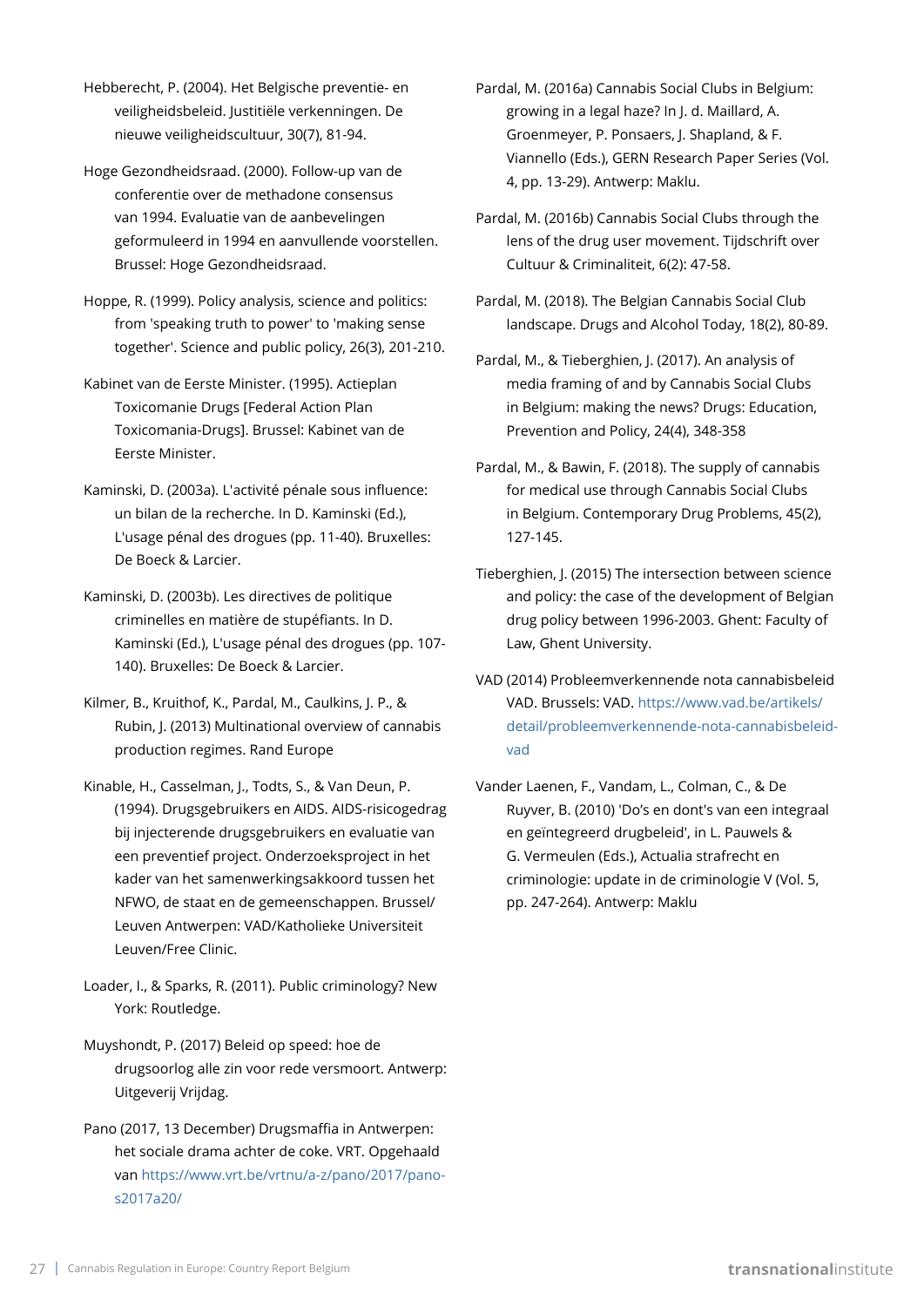- Hebberecht, P. (2004). Het Belgische preventie- en veiligheidsbeleid. Justitiële verkenningen. De nieuwe veiligheidscultuur, 30(7), 81-94.
- Hoge Gezondheidsraad. (2000). Follow-up van de conferentie over de methadone consensus van 1994. Evaluatie van de aanbevelingen geformuleerd in 1994 en aanvullende voorstellen. Brussel: Hoge Gezondheidsraad.
- Hoppe, R. (1999). Policy analysis, science and politics: from 'speaking truth to power' to 'making sense together'. Science and public policy, 26(3), 201-210.
- Kabinet van de Eerste Minister. (1995). Actieplan Toxicomanie Drugs [Federal Action Plan Toxicomania-Drugs]. Brussel: Kabinet van de Eerste Minister.
- Kaminski, D. (2003a). L'activité pénale sous influence: un bilan de la recherche. In D. Kaminski (Ed.), L'usage pénal des drogues (pp. 11-40). Bruxelles: De Boeck & Larcier.
- Kaminski, D. (2003b). Les directives de politique criminelles en matière de stupéfiants. In D. Kaminski (Ed.), L'usage pénal des drogues (pp. 107- 140). Bruxelles: De Boeck & Larcier.
- Kilmer, B., Kruithof, K., Pardal, M., Caulkins, J. P., & Rubin, J. (2013) Multinational overview of cannabis production regimes. Rand Europe
- Kinable, H., Casselman, J., Todts, S., & Van Deun, P. (1994). Drugsgebruikers en AIDS. AIDS-risicogedrag bij injecterende drugsgebruikers en evaluatie van een preventief project. Onderzoeksproject in het kader van het samenwerkingsakkoord tussen het NFWO, de staat en de gemeenschappen. Brussel/ Leuven Antwerpen: VAD/Katholieke Universiteit Leuven/Free Clinic.
- Loader, I., & Sparks, R. (2011). Public criminology? New York: Routledge.
- Muyshondt, P. (2017) Beleid op speed: hoe de drugsoorlog alle zin voor rede versmoort. Antwerp: Uitgeverij Vrijdag.
- Pano (2017, 13 December) Drugsmaffia in Antwerpen: het sociale drama achter de coke. VRT. Opgehaald van [https://www.vrt.be/vrtnu/a-z/pano/2017/pano](https://www.vrt.be/vrtnu/a-z/pano/2017/pano-s2017a20/)[s2017a20/](https://www.vrt.be/vrtnu/a-z/pano/2017/pano-s2017a20/)
- Pardal, M. (2016a) Cannabis Social Clubs in Belgium: growing in a legal haze? In J. d. Maillard, A. Groenmeyer, P. Ponsaers, J. Shapland, & F. Viannello (Eds.), GERN Research Paper Series (Vol. 4, pp. 13-29). Antwerp: Maklu.
- Pardal, M. (2016b) Cannabis Social Clubs through the lens of the drug user movement. Tijdschrift over Cultuur & Criminaliteit, 6(2): 47-58.
- Pardal, M. (2018). The Belgian Cannabis Social Club landscape. Drugs and Alcohol Today, 18(2), 80-89.
- Pardal, M., & Tieberghien, J. (2017). An analysis of media framing of and by Cannabis Social Clubs in Belgium: making the news? Drugs: Education, Prevention and Policy, 24(4), 348-358
- Pardal, M., & Bawin, F. (2018). The supply of cannabis for medical use through Cannabis Social Clubs in Belgium. Contemporary Drug Problems, 45(2), 127-145.
- Tieberghien, J. (2015) The intersection between science and policy: the case of the development of Belgian drug policy between 1996-2003. Ghent: Faculty of Law, Ghent University.
- VAD (2014) Probleemverkennende nota cannabisbeleid VAD. Brussels: VAD. [https://www.vad.be/artikels/](https://www.vad.be/artikels/detail/probleemverkennende-nota-cannabisbeleid-vad) [detail/probleemverkennende-nota-cannabisbeleid](https://www.vad.be/artikels/detail/probleemverkennende-nota-cannabisbeleid-vad)[vad](https://www.vad.be/artikels/detail/probleemverkennende-nota-cannabisbeleid-vad)
- Vander Laenen, F., Vandam, L., Colman, C., & De Ruyver, B. (2010) 'Do's en dont's van een integraal en geïntegreerd drugbeleid', in L. Pauwels & G. Vermeulen (Eds.), Actualia strafrecht en criminologie: update in de criminologie V (Vol. 5, pp. 247-264). Antwerp: Maklu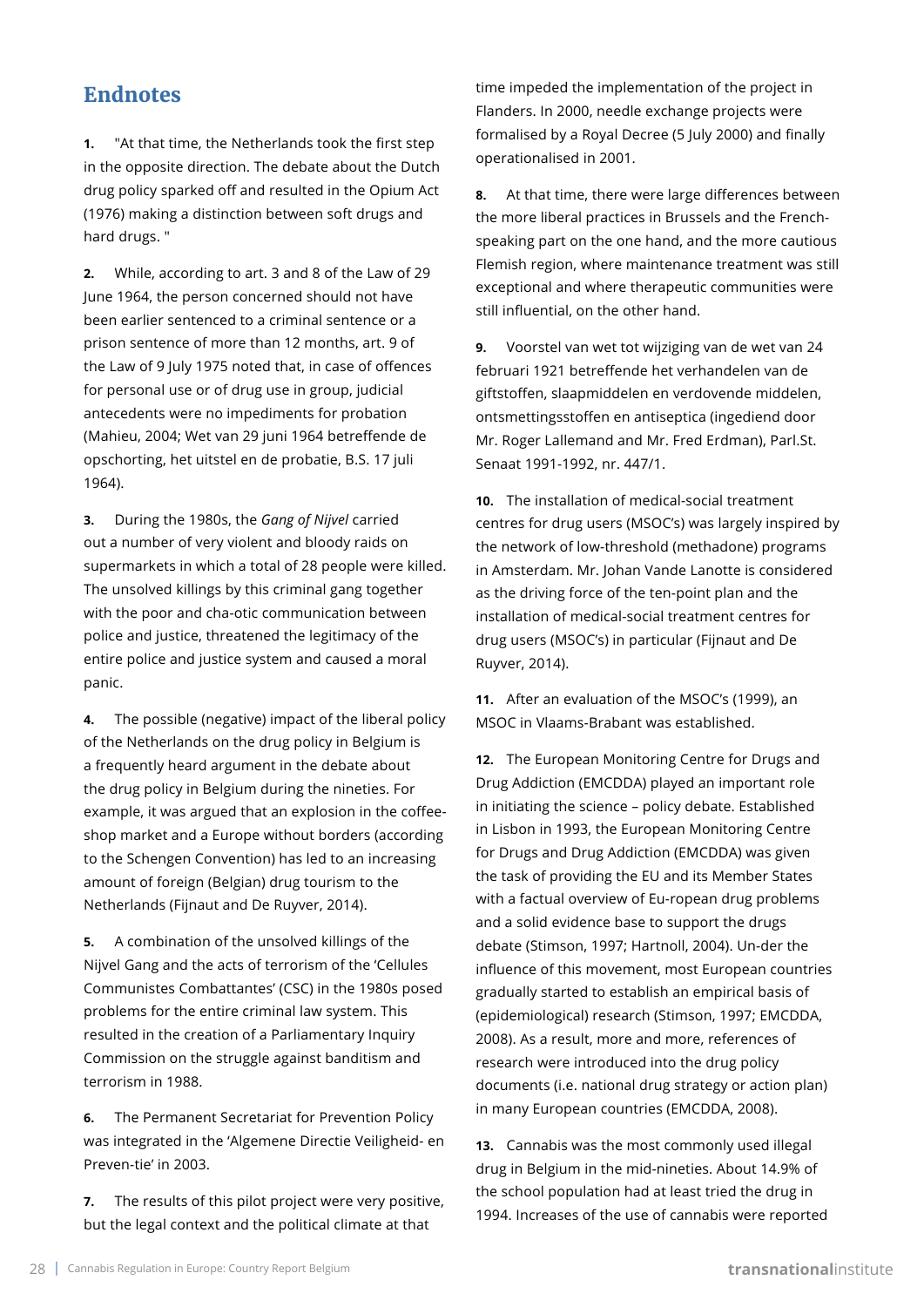# **Endnotes**

**1.** "At that time, the Netherlands took the first step in the opposite direction. The debate about the Dutch drug policy sparked off and resulted in the Opium Act (1976) making a distinction between soft drugs and hard drugs. "

**2.** While, according to art. 3 and 8 of the Law of 29 June 1964, the person concerned should not have been earlier sentenced to a criminal sentence or a prison sentence of more than 12 months, art. 9 of the Law of 9 July 1975 noted that, in case of offences for personal use or of drug use in group, judicial antecedents were no impediments for probation (Mahieu, 2004; Wet van 29 juni 1964 betreffende de opschorting, het uitstel en de probatie, B.S. 17 juli 1964).

**3.** During the 1980s, the *Gang of Nijvel* carried out a number of very violent and bloody raids on supermarkets in which a total of 28 people were killed. The unsolved killings by this criminal gang together with the poor and cha-otic communication between police and justice, threatened the legitimacy of the entire police and justice system and caused a moral panic.

**4.** The possible (negative) impact of the liberal policy of the Netherlands on the drug policy in Belgium is a frequently heard argument in the debate about the drug policy in Belgium during the nineties. For example, it was argued that an explosion in the coffeeshop market and a Europe without borders (according to the Schengen Convention) has led to an increasing amount of foreign (Belgian) drug tourism to the Netherlands (Fijnaut and De Ruyver, 2014).

**5.** A combination of the unsolved killings of the Nijvel Gang and the acts of terrorism of the 'Cellules Communistes Combattantes' (CSC) in the 1980s posed problems for the entire criminal law system. This resulted in the creation of a Parliamentary Inquiry Commission on the struggle against banditism and terrorism in 1988.

**6.** The Permanent Secretariat for Prevention Policy was integrated in the 'Algemene Directie Veiligheid- en Preven-tie' in 2003.

**7.** The results of this pilot project were very positive, but the legal context and the political climate at that

time impeded the implementation of the project in Flanders. In 2000, needle exchange projects were formalised by a Royal Decree (5 July 2000) and finally operationalised in 2001.

**8.** At that time, there were large differences between the more liberal practices in Brussels and the Frenchspeaking part on the one hand, and the more cautious Flemish region, where maintenance treatment was still exceptional and where therapeutic communities were still influential, on the other hand.

**9.** Voorstel van wet tot wijziging van de wet van 24 februari 1921 betreffende het verhandelen van de giftstoffen, slaapmiddelen en verdovende middelen, ontsmettingsstoffen en antiseptica (ingediend door Mr. Roger Lallemand and Mr. Fred Erdman), Parl.St. Senaat 1991-1992, nr. 447/1.

**10.** The installation of medical-social treatment centres for drug users (MSOC's) was largely inspired by the network of low-threshold (methadone) programs in Amsterdam. Mr. Johan Vande Lanotte is considered as the driving force of the ten-point plan and the installation of medical-social treatment centres for drug users (MSOC's) in particular (Fijnaut and De Ruyver, 2014).

**11.** After an evaluation of the MSOC's (1999), an MSOC in Vlaams-Brabant was established.

**12.** The European Monitoring Centre for Drugs and Drug Addiction (EMCDDA) played an important role in initiating the science – policy debate. Established in Lisbon in 1993, the European Monitoring Centre for Drugs and Drug Addiction (EMCDDA) was given the task of providing the EU and its Member States with a factual overview of Eu-ropean drug problems and a solid evidence base to support the drugs debate (Stimson, 1997; Hartnoll, 2004). Un-der the influence of this movement, most European countries gradually started to establish an empirical basis of (epidemiological) research (Stimson, 1997; EMCDDA, 2008). As a result, more and more, references of research were introduced into the drug policy documents (i.e. national drug strategy or action plan) in many European countries (EMCDDA, 2008).

**13.** Cannabis was the most commonly used illegal drug in Belgium in the mid-nineties. About 14.9% of the school population had at least tried the drug in 1994. Increases of the use of cannabis were reported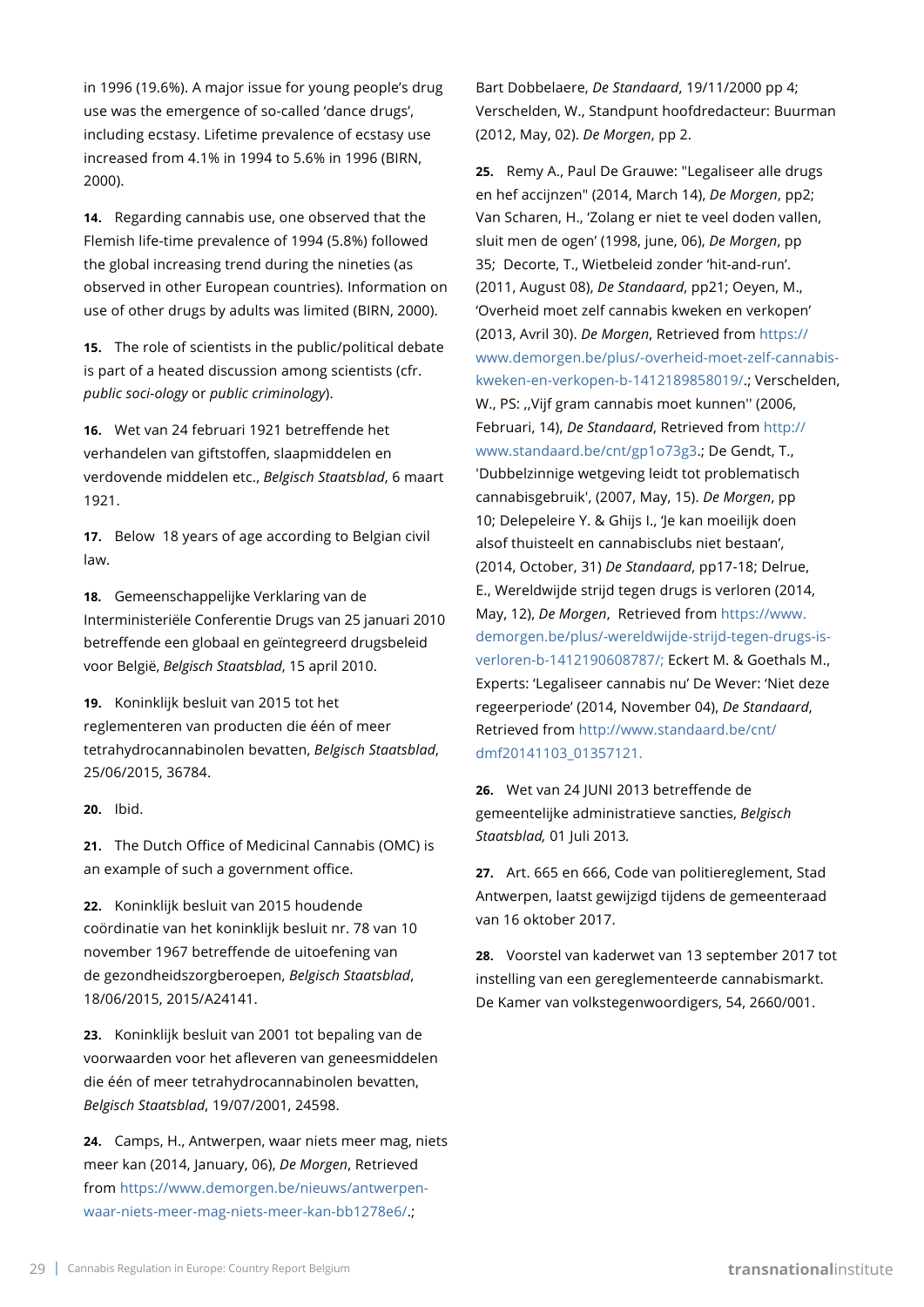in 1996 (19.6%). A major issue for young people's drug use was the emergence of so-called 'dance drugs', including ecstasy. Lifetime prevalence of ecstasy use increased from 4.1% in 1994 to 5.6% in 1996 (BIRN, 2000).

**14.** Regarding cannabis use, one observed that the Flemish life-time prevalence of 1994 (5.8%) followed the global increasing trend during the nineties (as observed in other European countries). Information on use of other drugs by adults was limited (BIRN, 2000).

**15.** The role of scientists in the public/political debate is part of a heated discussion among scientists (cfr. *public soci-ology* or *public criminology*).

**16.** Wet van 24 februari 1921 betreffende het verhandelen van giftstoffen, slaapmiddelen en verdovende middelen etc., *Belgisch Staatsblad*, 6 maart 1921.

**17.** Below 18 years of age according to Belgian civil law.

**18.** Gemeenschappelijke Verklaring van de Interministeriële Conferentie Drugs van 25 januari 2010 betreffende een globaal en geïntegreerd drugsbeleid voor België, *Belgisch Staatsblad*, 15 april 2010.

**19.** Koninklijk besluit van 2015 tot het reglementeren van producten die één of meer tetrahydrocannabinolen bevatten, *Belgisch Staatsblad*, 25/06/2015, 36784.

**20.** Ibid.

**21.** The Dutch Office of Medicinal Cannabis (OMC) is an example of such a government office.

**22.** Koninklijk besluit van 2015 houdende coördinatie van het koninklijk besluit nr. 78 van 10 november 1967 betreffende de uitoefening van de gezondheidszorgberoepen, *Belgisch Staatsblad*, 18/06/2015, 2015/A24141.

**23.** Koninklijk besluit van 2001 tot bepaling van de voorwaarden voor het afleveren van geneesmiddelen die één of meer tetrahydrocannabinolen bevatten, *Belgisch Staatsblad*, 19/07/2001, 24598.

**24.** Camps, H., Antwerpen, waar niets meer mag, niets meer kan (2014, January, 06), *De Morgen*, Retrieved from [https://www.demorgen.be/nieuws/antwerpen](https://www.demorgen.be/nieuws/antwerpen-waar-niets-meer-mag-niets-meer-kan-bb1278e6/)[waar-niets-meer-mag-niets-meer-kan-bb1278e6/](https://www.demorgen.be/nieuws/antwerpen-waar-niets-meer-mag-niets-meer-kan-bb1278e6/).;

Bart Dobbelaere, *De Standaard*, 19/11/2000 pp 4; Verschelden, W., Standpunt hoofdredacteur: Buurman (2012, May, 02). *De Morgen*, pp 2.

**25.** Remy A., Paul De Grauwe: "Legaliseer alle drugs en hef accijnzen" (2014, March 14), *De Morgen*, pp2; Van Scharen, H., 'Zolang er niet te veel doden vallen, sluit men de ogen' (1998, june, 06), *De Morgen*, pp 35; Decorte, T., Wietbeleid zonder 'hit-and-run'. (2011, August 08), *De Standaard*, pp21; Oeyen, M., 'Overheid moet zelf cannabis kweken en verkopen' (2013, Avril 30). *De Morgen*, Retrieved from [https://](https://www.demorgen.be/plus/-overheid-moet-zelf-cannabis-kweken-en-verkopen-b-1412189858019/) [www.demorgen.be/plus/-overheid-moet-zelf-cannabis](https://www.demorgen.be/plus/-overheid-moet-zelf-cannabis-kweken-en-verkopen-b-1412189858019/)[kweken-en-verkopen-b-1412189858019/](https://www.demorgen.be/plus/-overheid-moet-zelf-cannabis-kweken-en-verkopen-b-1412189858019/).; Verschelden, W., PS: ,,Vijf gram cannabis moet kunnen'' (2006, Februari, 14), *De Standaard*, Retrieved from [http://](http://www.standaard.be/cnt/gp1o73g3) [www.standaard.be/cnt/gp1o73g3](http://www.standaard.be/cnt/gp1o73g3).; De Gendt, T., 'Dubbelzinnige wetgeving leidt tot problematisch cannabisgebruik', (2007, May, 15). *De Morgen*, pp 10; Delepeleire Y. & Ghijs I., 'Je kan moeilijk doen alsof thuisteelt en cannabisclubs niet bestaan', (2014, October, 31) *De Standaard*, pp17-18; Delrue, E., Wereldwijde strijd tegen drugs is verloren (2014, May, 12), *De Morgen*, Retrieved from [https://www.](https://www.demorgen.be/plus/-wereldwijde-strijd-tegen-drugs-is-verloren-b-1412190608787/) [demorgen.be/plus/-wereldwijde-strijd-tegen-drugs-is](https://www.demorgen.be/plus/-wereldwijde-strijd-tegen-drugs-is-verloren-b-1412190608787/)[verloren-b-1412190608787/;](https://www.demorgen.be/plus/-wereldwijde-strijd-tegen-drugs-is-verloren-b-1412190608787/) Eckert M. & Goethals M., Experts: 'Legaliseer cannabis nu' De Wever: 'Niet deze regeerperiode' (2014, November 04), *De Standaard*, Retrieved from [http://www.standaard.be/cnt/](http://www.standaard.be/cnt/dmf20141103_01357121) [dmf20141103\\_01357121.](http://www.standaard.be/cnt/dmf20141103_01357121)

**26.** Wet van 24 JUNI 2013 betreffende de gemeentelijke administratieve sancties, *Belgisch Staatsblad,* 01 Juli 2013*.*

**27.** Art. 665 en 666, Code van politiereglement, Stad Antwerpen, laatst gewijzigd tijdens de gemeenteraad van 16 oktober 2017.

**28.** Voorstel van kaderwet van 13 september 2017 tot instelling van een gereglementeerde cannabismarkt. De Kamer van volkstegenwoordigers, 54, 2660/001.